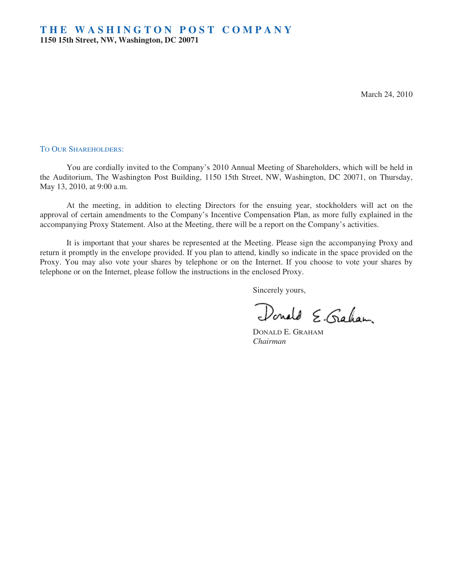March 24, 2010

#### TO OUR SHAREHOLDERS:

You are cordially invited to the Company's 2010 Annual Meeting of Shareholders, which will be held in the Auditorium, The Washington Post Building, 1150 15th Street, NW, Washington, DC 20071, on Thursday, May 13, 2010, at 9:00 a.m.

At the meeting, in addition to electing Directors for the ensuing year, stockholders will act on the approval of certain amendments to the Company's Incentive Compensation Plan, as more fully explained in the accompanying Proxy Statement. Also at the Meeting, there will be a report on the Company's activities.

It is important that your shares be represented at the Meeting. Please sign the accompanying Proxy and return it promptly in the envelope provided. If you plan to attend, kindly so indicate in the space provided on the Proxy. You may also vote your shares by telephone or on the Internet. If you choose to vote your shares by telephone or on the Internet, please follow the instructions in the enclosed Proxy.

Sincerely yours,

Donald E. Graham

DONALD E. GRAHAM *Chairman*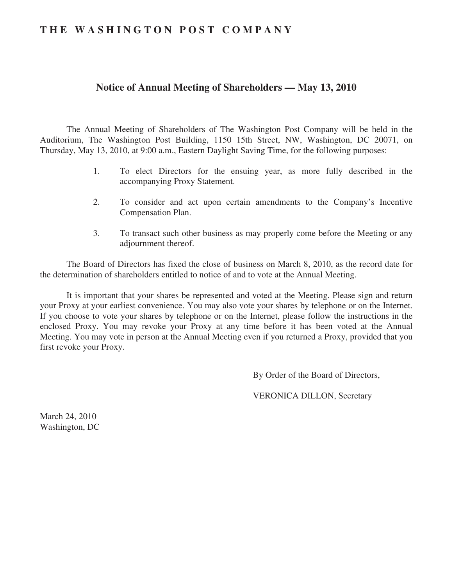# **THE WASHINGTON POST COMPANY**

# **Notice of Annual Meeting of Shareholders — May 13, 2010**

The Annual Meeting of Shareholders of The Washington Post Company will be held in the Auditorium, The Washington Post Building, 1150 15th Street, NW, Washington, DC 20071, on Thursday, May 13, 2010, at 9:00 a.m., Eastern Daylight Saving Time, for the following purposes:

- 1. To elect Directors for the ensuing year, as more fully described in the accompanying Proxy Statement.
- 2. To consider and act upon certain amendments to the Company's Incentive Compensation Plan.
- 3. To transact such other business as may properly come before the Meeting or any adjournment thereof.

The Board of Directors has fixed the close of business on March 8, 2010, as the record date for the determination of shareholders entitled to notice of and to vote at the Annual Meeting.

It is important that your shares be represented and voted at the Meeting. Please sign and return your Proxy at your earliest convenience. You may also vote your shares by telephone or on the Internet. If you choose to vote your shares by telephone or on the Internet, please follow the instructions in the enclosed Proxy. You may revoke your Proxy at any time before it has been voted at the Annual Meeting. You may vote in person at the Annual Meeting even if you returned a Proxy, provided that you first revoke your Proxy.

By Order of the Board of Directors,

VERONICA DILLON, Secretary

March 24, 2010 Washington, DC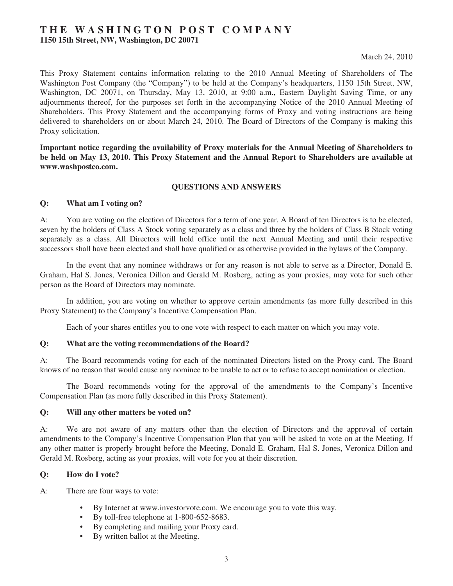## **THE WASHINGTON POST COMPANY 1150 15th Street, NW, Washington, DC 20071**

## March 24, 2010

This Proxy Statement contains information relating to the 2010 Annual Meeting of Shareholders of The Washington Post Company (the "Company") to be held at the Company's headquarters, 1150 15th Street, NW, Washington, DC 20071, on Thursday, May 13, 2010, at 9:00 a.m., Eastern Daylight Saving Time, or any adjournments thereof, for the purposes set forth in the accompanying Notice of the 2010 Annual Meeting of Shareholders. This Proxy Statement and the accompanying forms of Proxy and voting instructions are being delivered to shareholders on or about March 24, 2010. The Board of Directors of the Company is making this Proxy solicitation.

**Important notice regarding the availability of Proxy materials for the Annual Meeting of Shareholders to be held on May 13, 2010. This Proxy Statement and the Annual Report to Shareholders are available at www.washpostco.com.**

## **QUESTIONS AND ANSWERS**

## **Q: What am I voting on?**

A: You are voting on the election of Directors for a term of one year. A Board of ten Directors is to be elected, seven by the holders of Class A Stock voting separately as a class and three by the holders of Class B Stock voting separately as a class. All Directors will hold office until the next Annual Meeting and until their respective successors shall have been elected and shall have qualified or as otherwise provided in the bylaws of the Company.

In the event that any nominee withdraws or for any reason is not able to serve as a Director, Donald E. Graham, Hal S. Jones, Veronica Dillon and Gerald M. Rosberg, acting as your proxies, may vote for such other person as the Board of Directors may nominate.

In addition, you are voting on whether to approve certain amendments (as more fully described in this Proxy Statement) to the Company's Incentive Compensation Plan.

Each of your shares entitles you to one vote with respect to each matter on which you may vote.

#### **Q: What are the voting recommendations of the Board?**

A: The Board recommends voting for each of the nominated Directors listed on the Proxy card. The Board knows of no reason that would cause any nominee to be unable to act or to refuse to accept nomination or election.

The Board recommends voting for the approval of the amendments to the Company's Incentive Compensation Plan (as more fully described in this Proxy Statement).

#### **Q: Will any other matters be voted on?**

A: We are not aware of any matters other than the election of Directors and the approval of certain amendments to the Company's Incentive Compensation Plan that you will be asked to vote on at the Meeting. If any other matter is properly brought before the Meeting, Donald E. Graham, Hal S. Jones, Veronica Dillon and Gerald M. Rosberg, acting as your proxies, will vote for you at their discretion.

## **Q: How do I vote?**

A: There are four ways to vote:

- By Internet at www.investorvote.com. We encourage you to vote this way.
- By toll-free telephone at 1-800-652-8683.
- By completing and mailing your Proxy card.
- By written ballot at the Meeting.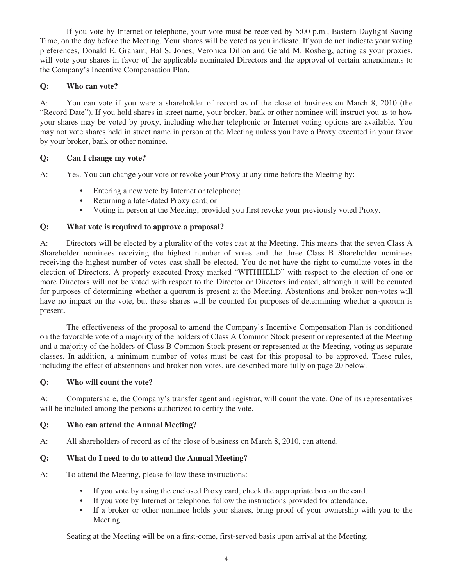If you vote by Internet or telephone, your vote must be received by 5:00 p.m., Eastern Daylight Saving Time, on the day before the Meeting. Your shares will be voted as you indicate. If you do not indicate your voting preferences, Donald E. Graham, Hal S. Jones, Veronica Dillon and Gerald M. Rosberg, acting as your proxies, will vote your shares in favor of the applicable nominated Directors and the approval of certain amendments to the Company's Incentive Compensation Plan.

## **Q: Who can vote?**

A: You can vote if you were a shareholder of record as of the close of business on March 8, 2010 (the "Record Date"). If you hold shares in street name, your broker, bank or other nominee will instruct you as to how your shares may be voted by proxy, including whether telephonic or Internet voting options are available. You may not vote shares held in street name in person at the Meeting unless you have a Proxy executed in your favor by your broker, bank or other nominee.

## **Q: Can I change my vote?**

A: Yes. You can change your vote or revoke your Proxy at any time before the Meeting by:

- Entering a new vote by Internet or telephone;
- Returning a later-dated Proxy card; or
- Voting in person at the Meeting, provided you first revoke your previously voted Proxy.

## **Q: What vote is required to approve a proposal?**

A: Directors will be elected by a plurality of the votes cast at the Meeting. This means that the seven Class A Shareholder nominees receiving the highest number of votes and the three Class B Shareholder nominees receiving the highest number of votes cast shall be elected. You do not have the right to cumulate votes in the election of Directors. A properly executed Proxy marked "WITHHELD" with respect to the election of one or more Directors will not be voted with respect to the Director or Directors indicated, although it will be counted for purposes of determining whether a quorum is present at the Meeting. Abstentions and broker non-votes will have no impact on the vote, but these shares will be counted for purposes of determining whether a quorum is present.

The effectiveness of the proposal to amend the Company's Incentive Compensation Plan is conditioned on the favorable vote of a majority of the holders of Class A Common Stock present or represented at the Meeting and a majority of the holders of Class B Common Stock present or represented at the Meeting, voting as separate classes. In addition, a minimum number of votes must be cast for this proposal to be approved. These rules, including the effect of abstentions and broker non-votes, are described more fully on page 20 below.

## **Q: Who will count the vote?**

A: Computershare, the Company's transfer agent and registrar, will count the vote. One of its representatives will be included among the persons authorized to certify the vote.

## **Q: Who can attend the Annual Meeting?**

A: All shareholders of record as of the close of business on March 8, 2010, can attend.

## **Q: What do I need to do to attend the Annual Meeting?**

- A: To attend the Meeting, please follow these instructions:
	- If you vote by using the enclosed Proxy card, check the appropriate box on the card.
	- If you vote by Internet or telephone, follow the instructions provided for attendance.
	- If a broker or other nominee holds your shares, bring proof of your ownership with you to the Meeting.

Seating at the Meeting will be on a first-come, first-served basis upon arrival at the Meeting.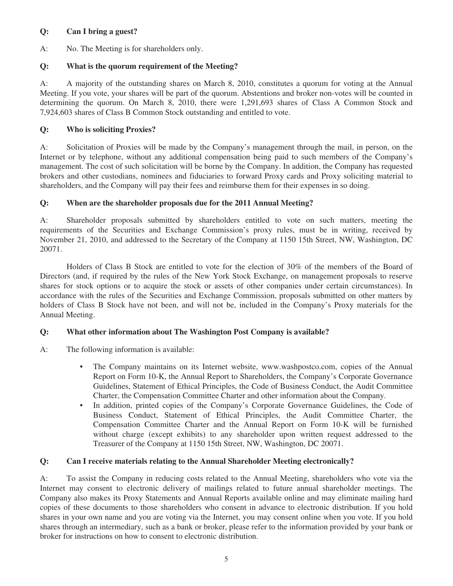## **Q: Can I bring a guest?**

A: No. The Meeting is for shareholders only.

## **Q: What is the quorum requirement of the Meeting?**

A: A majority of the outstanding shares on March 8, 2010, constitutes a quorum for voting at the Annual Meeting. If you vote, your shares will be part of the quorum. Abstentions and broker non-votes will be counted in determining the quorum. On March 8, 2010, there were 1,291,693 shares of Class A Common Stock and 7,924,603 shares of Class B Common Stock outstanding and entitled to vote.

## **Q: Who is soliciting Proxies?**

A: Solicitation of Proxies will be made by the Company's management through the mail, in person, on the Internet or by telephone, without any additional compensation being paid to such members of the Company's management. The cost of such solicitation will be borne by the Company. In addition, the Company has requested brokers and other custodians, nominees and fiduciaries to forward Proxy cards and Proxy soliciting material to shareholders, and the Company will pay their fees and reimburse them for their expenses in so doing.

## **Q: When are the shareholder proposals due for the 2011 Annual Meeting?**

A: Shareholder proposals submitted by shareholders entitled to vote on such matters, meeting the requirements of the Securities and Exchange Commission's proxy rules, must be in writing, received by November 21, 2010, and addressed to the Secretary of the Company at 1150 15th Street, NW, Washington, DC 20071.

Holders of Class B Stock are entitled to vote for the election of 30% of the members of the Board of Directors (and, if required by the rules of the New York Stock Exchange, on management proposals to reserve shares for stock options or to acquire the stock or assets of other companies under certain circumstances). In accordance with the rules of the Securities and Exchange Commission, proposals submitted on other matters by holders of Class B Stock have not been, and will not be, included in the Company's Proxy materials for the Annual Meeting.

## **Q: What other information about The Washington Post Company is available?**

- A: The following information is available:
	- The Company maintains on its Internet website, www.washpostco.com, copies of the Annual Report on Form 10-K, the Annual Report to Shareholders, the Company's Corporate Governance Guidelines, Statement of Ethical Principles, the Code of Business Conduct, the Audit Committee Charter, the Compensation Committee Charter and other information about the Company.
	- In addition, printed copies of the Company's Corporate Governance Guidelines, the Code of Business Conduct, Statement of Ethical Principles, the Audit Committee Charter, the Compensation Committee Charter and the Annual Report on Form 10-K will be furnished without charge (except exhibits) to any shareholder upon written request addressed to the Treasurer of the Company at 1150 15th Street, NW, Washington, DC 20071.

## **Q: Can I receive materials relating to the Annual Shareholder Meeting electronically?**

A: To assist the Company in reducing costs related to the Annual Meeting, shareholders who vote via the Internet may consent to electronic delivery of mailings related to future annual shareholder meetings. The Company also makes its Proxy Statements and Annual Reports available online and may eliminate mailing hard copies of these documents to those shareholders who consent in advance to electronic distribution. If you hold shares in your own name and you are voting via the Internet, you may consent online when you vote. If you hold shares through an intermediary, such as a bank or broker, please refer to the information provided by your bank or broker for instructions on how to consent to electronic distribution.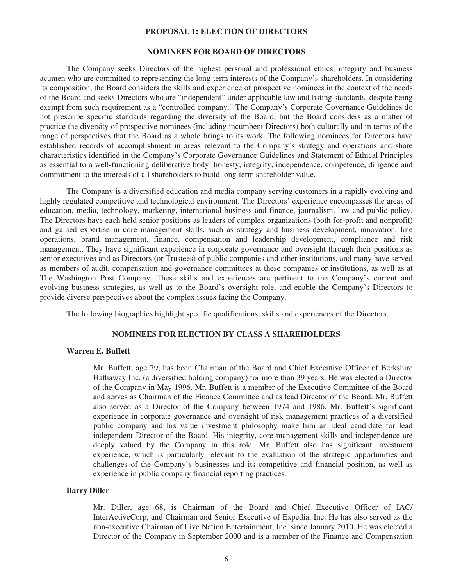#### **PROPOSAL 1: ELECTION OF DIRECTORS**

#### **NOMINEES FOR BOARD OF DIRECTORS**

The Company seeks Directors of the highest personal and professional ethics, integrity and business acumen who are committed to representing the long-term interests of the Company's shareholders. In considering its composition, the Board considers the skills and experience of prospective nominees in the context of the needs of the Board and seeks Directors who are "independent" under applicable law and listing standards, despite being exempt from such requirement as a "controlled company." The Company's Corporate Governance Guidelines do not prescribe specific standards regarding the diversity of the Board, but the Board considers as a matter of practice the diversity of prospective nominees (including incumbent Directors) both culturally and in terms of the range of perspectives that the Board as a whole brings to its work. The following nominees for Directors have established records of accomplishment in areas relevant to the Company's strategy and operations and share characteristics identified in the Company's Corporate Governance Guidelines and Statement of Ethical Principles as essential to a well-functioning deliberative body: honesty, integrity, independence, competence, diligence and commitment to the interests of all shareholders to build long-term shareholder value.

The Company is a diversified education and media company serving customers in a rapidly evolving and highly regulated competitive and technological environment. The Directors' experience encompasses the areas of education, media, technology, marketing, international business and finance, journalism, law and public policy. The Directors have each held senior positions as leaders of complex organizations (both for-profit and nonprofit) and gained expertise in core management skills, such as strategy and business development, innovation, line operations, brand management, finance, compensation and leadership development, compliance and risk management. They have significant experience in corporate governance and oversight through their positions as senior executives and as Directors (or Trustees) of public companies and other institutions, and many have served as members of audit, compensation and governance committees at these companies or institutions, as well as at The Washington Post Company. These skills and experiences are pertinent to the Company's current and evolving business strategies, as well as to the Board's oversight role, and enable the Company's Directors to provide diverse perspectives about the complex issues facing the Company.

The following biographies highlight specific qualifications, skills and experiences of the Directors.

#### **NOMINEES FOR ELECTION BY CLASS A SHAREHOLDERS**

#### **Warren E. Buffett**

Mr. Buffett, age 79, has been Chairman of the Board and Chief Executive Officer of Berkshire Hathaway Inc. (a diversified holding company) for more than 39 years. He was elected a Director of the Company in May 1996. Mr. Buffett is a member of the Executive Committee of the Board and serves as Chairman of the Finance Committee and as lead Director of the Board. Mr. Buffett also served as a Director of the Company between 1974 and 1986. Mr. Buffett's significant experience in corporate governance and oversight of risk management practices of a diversified public company and his value investment philosophy make him an ideal candidate for lead independent Director of the Board. His integrity, core management skills and independence are deeply valued by the Company in this role. Mr. Buffett also has significant investment experience, which is particularly relevant to the evaluation of the strategic opportunities and challenges of the Company's businesses and its competitive and financial position, as well as experience in public company financial reporting practices.

#### **Barry Diller**

Mr. Diller, age 68, is Chairman of the Board and Chief Executive Officer of IAC/ InterActiveCorp, and Chairman and Senior Executive of Expedia, Inc. He has also served as the non-executive Chairman of Live Nation Entertainment, Inc. since January 2010. He was elected a Director of the Company in September 2000 and is a member of the Finance and Compensation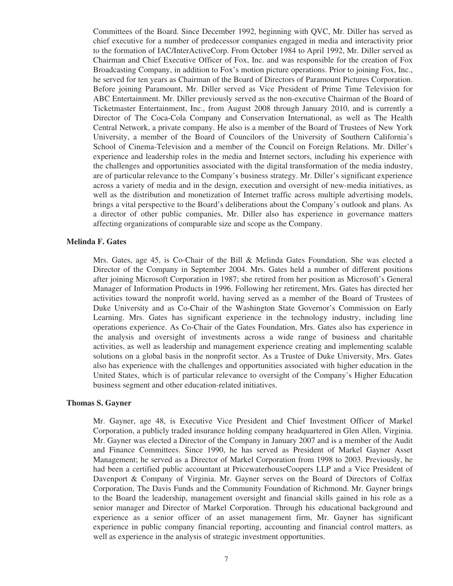Committees of the Board. Since December 1992, beginning with QVC, Mr. Diller has served as chief executive for a number of predecessor companies engaged in media and interactivity prior to the formation of IAC/InterActiveCorp. From October 1984 to April 1992, Mr. Diller served as Chairman and Chief Executive Officer of Fox, Inc. and was responsible for the creation of Fox Broadcasting Company, in addition to Fox's motion picture operations. Prior to joining Fox, Inc., he served for ten years as Chairman of the Board of Directors of Paramount Pictures Corporation. Before joining Paramount, Mr. Diller served as Vice President of Prime Time Television for ABC Entertainment. Mr. Diller previously served as the non-executive Chairman of the Board of Ticketmaster Entertainment, Inc., from August 2008 through January 2010, and is currently a Director of The Coca-Cola Company and Conservation International, as well as The Health Central Network, a private company. He also is a member of the Board of Trustees of New York University, a member of the Board of Councilors of the University of Southern California's School of Cinema-Television and a member of the Council on Foreign Relations. Mr. Diller's experience and leadership roles in the media and Internet sectors, including his experience with the challenges and opportunities associated with the digital transformation of the media industry, are of particular relevance to the Company's business strategy. Mr. Diller's significant experience across a variety of media and in the design, execution and oversight of new-media initiatives, as well as the distribution and monetization of Internet traffic across multiple advertising models, brings a vital perspective to the Board's deliberations about the Company's outlook and plans. As a director of other public companies, Mr. Diller also has experience in governance matters affecting organizations of comparable size and scope as the Company.

### **Melinda F. Gates**

Mrs. Gates, age 45, is Co-Chair of the Bill & Melinda Gates Foundation. She was elected a Director of the Company in September 2004. Mrs. Gates held a number of different positions after joining Microsoft Corporation in 1987; she retired from her position as Microsoft's General Manager of Information Products in 1996. Following her retirement, Mrs. Gates has directed her activities toward the nonprofit world, having served as a member of the Board of Trustees of Duke University and as Co-Chair of the Washington State Governor's Commission on Early Learning. Mrs. Gates has significant experience in the technology industry, including line operations experience. As Co-Chair of the Gates Foundation, Mrs. Gates also has experience in the analysis and oversight of investments across a wide range of business and charitable activities, as well as leadership and management experience creating and implementing scalable solutions on a global basis in the nonprofit sector. As a Trustee of Duke University, Mrs. Gates also has experience with the challenges and opportunities associated with higher education in the United States, which is of particular relevance to oversight of the Company's Higher Education business segment and other education-related initiatives.

## **Thomas S. Gayner**

Mr. Gayner, age 48, is Executive Vice President and Chief Investment Officer of Markel Corporation, a publicly traded insurance holding company headquartered in Glen Allen, Virginia. Mr. Gayner was elected a Director of the Company in January 2007 and is a member of the Audit and Finance Committees. Since 1990, he has served as President of Markel Gayner Asset Management; he served as a Director of Markel Corporation from 1998 to 2003. Previously, he had been a certified public accountant at PricewaterhouseCoopers LLP and a Vice President of Davenport & Company of Virginia. Mr. Gayner serves on the Board of Directors of Colfax Corporation, The Davis Funds and the Community Foundation of Richmond. Mr. Gayner brings to the Board the leadership, management oversight and financial skills gained in his role as a senior manager and Director of Markel Corporation. Through his educational background and experience as a senior officer of an asset management firm, Mr. Gayner has significant experience in public company financial reporting, accounting and financial control matters, as well as experience in the analysis of strategic investment opportunities.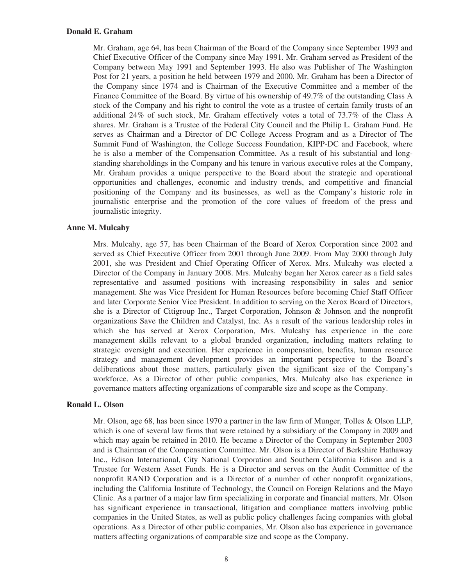### **Donald E. Graham**

Mr. Graham, age 64, has been Chairman of the Board of the Company since September 1993 and Chief Executive Officer of the Company since May 1991. Mr. Graham served as President of the Company between May 1991 and September 1993. He also was Publisher of The Washington Post for 21 years, a position he held between 1979 and 2000. Mr. Graham has been a Director of the Company since 1974 and is Chairman of the Executive Committee and a member of the Finance Committee of the Board. By virtue of his ownership of 49.7% of the outstanding Class A stock of the Company and his right to control the vote as a trustee of certain family trusts of an additional 24% of such stock, Mr. Graham effectively votes a total of 73.7% of the Class A shares. Mr. Graham is a Trustee of the Federal City Council and the Philip L. Graham Fund. He serves as Chairman and a Director of DC College Access Program and as a Director of The Summit Fund of Washington, the College Success Foundation, KIPP-DC and Facebook, where he is also a member of the Compensation Committee. As a result of his substantial and longstanding shareholdings in the Company and his tenure in various executive roles at the Company, Mr. Graham provides a unique perspective to the Board about the strategic and operational opportunities and challenges, economic and industry trends, and competitive and financial positioning of the Company and its businesses, as well as the Company's historic role in journalistic enterprise and the promotion of the core values of freedom of the press and journalistic integrity.

## **Anne M. Mulcahy**

Mrs. Mulcahy, age 57, has been Chairman of the Board of Xerox Corporation since 2002 and served as Chief Executive Officer from 2001 through June 2009. From May 2000 through July 2001, she was President and Chief Operating Officer of Xerox. Mrs. Mulcahy was elected a Director of the Company in January 2008. Mrs. Mulcahy began her Xerox career as a field sales representative and assumed positions with increasing responsibility in sales and senior management. She was Vice President for Human Resources before becoming Chief Staff Officer and later Corporate Senior Vice President. In addition to serving on the Xerox Board of Directors, she is a Director of Citigroup Inc., Target Corporation, Johnson & Johnson and the nonprofit organizations Save the Children and Catalyst, Inc. As a result of the various leadership roles in which she has served at Xerox Corporation, Mrs. Mulcahy has experience in the core management skills relevant to a global branded organization, including matters relating to strategic oversight and execution. Her experience in compensation, benefits, human resource strategy and management development provides an important perspective to the Board's deliberations about those matters, particularly given the significant size of the Company's workforce. As a Director of other public companies, Mrs. Mulcahy also has experience in governance matters affecting organizations of comparable size and scope as the Company.

## **Ronald L. Olson**

Mr. Olson, age 68, has been since 1970 a partner in the law firm of Munger, Tolles & Olson LLP, which is one of several law firms that were retained by a subsidiary of the Company in 2009 and which may again be retained in 2010. He became a Director of the Company in September 2003 and is Chairman of the Compensation Committee. Mr. Olson is a Director of Berkshire Hathaway Inc., Edison International, City National Corporation and Southern California Edison and is a Trustee for Western Asset Funds. He is a Director and serves on the Audit Committee of the nonprofit RAND Corporation and is a Director of a number of other nonprofit organizations, including the California Institute of Technology, the Council on Foreign Relations and the Mayo Clinic. As a partner of a major law firm specializing in corporate and financial matters, Mr. Olson has significant experience in transactional, litigation and compliance matters involving public companies in the United States, as well as public policy challenges facing companies with global operations. As a Director of other public companies, Mr. Olson also has experience in governance matters affecting organizations of comparable size and scope as the Company.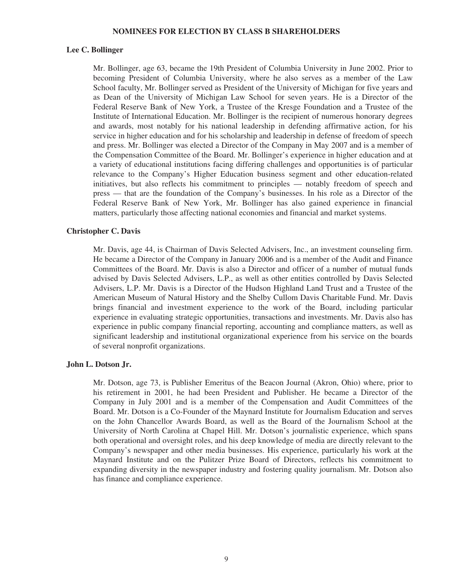#### **NOMINEES FOR ELECTION BY CLASS B SHAREHOLDERS**

#### **Lee C. Bollinger**

Mr. Bollinger, age 63, became the 19th President of Columbia University in June 2002. Prior to becoming President of Columbia University, where he also serves as a member of the Law School faculty, Mr. Bollinger served as President of the University of Michigan for five years and as Dean of the University of Michigan Law School for seven years. He is a Director of the Federal Reserve Bank of New York, a Trustee of the Kresge Foundation and a Trustee of the Institute of International Education. Mr. Bollinger is the recipient of numerous honorary degrees and awards, most notably for his national leadership in defending affirmative action, for his service in higher education and for his scholarship and leadership in defense of freedom of speech and press. Mr. Bollinger was elected a Director of the Company in May 2007 and is a member of the Compensation Committee of the Board. Mr. Bollinger's experience in higher education and at a variety of educational institutions facing differing challenges and opportunities is of particular relevance to the Company's Higher Education business segment and other education-related initiatives, but also reflects his commitment to principles — notably freedom of speech and press — that are the foundation of the Company's businesses. In his role as a Director of the Federal Reserve Bank of New York, Mr. Bollinger has also gained experience in financial matters, particularly those affecting national economies and financial and market systems.

#### **Christopher C. Davis**

Mr. Davis, age 44, is Chairman of Davis Selected Advisers, Inc., an investment counseling firm. He became a Director of the Company in January 2006 and is a member of the Audit and Finance Committees of the Board. Mr. Davis is also a Director and officer of a number of mutual funds advised by Davis Selected Advisers, L.P., as well as other entities controlled by Davis Selected Advisers, L.P. Mr. Davis is a Director of the Hudson Highland Land Trust and a Trustee of the American Museum of Natural History and the Shelby Cullom Davis Charitable Fund. Mr. Davis brings financial and investment experience to the work of the Board, including particular experience in evaluating strategic opportunities, transactions and investments. Mr. Davis also has experience in public company financial reporting, accounting and compliance matters, as well as significant leadership and institutional organizational experience from his service on the boards of several nonprofit organizations.

#### **John L. Dotson Jr.**

Mr. Dotson, age 73, is Publisher Emeritus of the Beacon Journal (Akron, Ohio) where, prior to his retirement in 2001, he had been President and Publisher. He became a Director of the Company in July 2001 and is a member of the Compensation and Audit Committees of the Board. Mr. Dotson is a Co-Founder of the Maynard Institute for Journalism Education and serves on the John Chancellor Awards Board, as well as the Board of the Journalism School at the University of North Carolina at Chapel Hill. Mr. Dotson's journalistic experience, which spans both operational and oversight roles, and his deep knowledge of media are directly relevant to the Company's newspaper and other media businesses. His experience, particularly his work at the Maynard Institute and on the Pulitzer Prize Board of Directors, reflects his commitment to expanding diversity in the newspaper industry and fostering quality journalism. Mr. Dotson also has finance and compliance experience.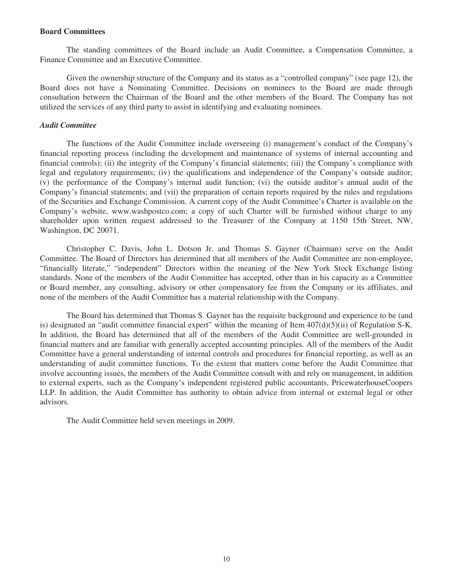#### **Board Committees**

The standing committees of the Board include an Audit Committee, a Compensation Committee, a Finance Committee and an Executive Committee.

Given the ownership structure of the Company and its status as a "controlled company" (see page 12), the Board does not have a Nominating Committee. Decisions on nominees to the Board are made through consultation between the Chairman of the Board and the other members of the Board. The Company has not utilized the services of any third party to assist in identifying and evaluating nominees.

#### *Audit Committee*

The functions of the Audit Committee include overseeing (i) management's conduct of the Company's financial reporting process (including the development and maintenance of systems of internal accounting and financial controls); (ii) the integrity of the Company's financial statements; (iii) the Company's compliance with legal and regulatory requirements; (iv) the qualifications and independence of the Company's outside auditor; (v) the performance of the Company's internal audit function; (vi) the outside auditor's annual audit of the Company's financial statements; and (vii) the preparation of certain reports required by the rules and regulations of the Securities and Exchange Commission. A current copy of the Audit Committee's Charter is available on the Company's website, www.washpostco.com; a copy of such Charter will be furnished without charge to any shareholder upon written request addressed to the Treasurer of the Company at 1150 15th Street, NW, Washington, DC 20071.

Christopher C. Davis, John L. Dotson Jr. and Thomas S. Gayner (Chairman) serve on the Audit Committee. The Board of Directors has determined that all members of the Audit Committee are non-employee, "financially literate," "independent" Directors within the meaning of the New York Stock Exchange listing standards. None of the members of the Audit Committee has accepted, other than in his capacity as a Committee or Board member, any consulting, advisory or other compensatory fee from the Company or its affiliates, and none of the members of the Audit Committee has a material relationship with the Company.

The Board has determined that Thomas S. Gayner has the requisite background and experience to be (and is) designated an "audit committee financial expert" within the meaning of Item 407(d)(5)(ii) of Regulation S-K. In addition, the Board has determined that all of the members of the Audit Committee are well-grounded in financial matters and are familiar with generally accepted accounting principles. All of the members of the Audit Committee have a general understanding of internal controls and procedures for financial reporting, as well as an understanding of audit committee functions. To the extent that matters come before the Audit Committee that involve accounting issues, the members of the Audit Committee consult with and rely on management, in addition to external experts, such as the Company's independent registered public accountants, PricewaterhouseCoopers LLP. In addition, the Audit Committee has authority to obtain advice from internal or external legal or other advisors.

The Audit Committee held seven meetings in 2009.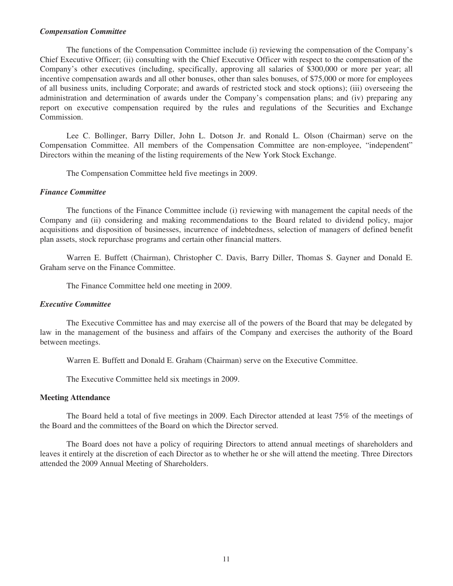### *Compensation Committee*

The functions of the Compensation Committee include (i) reviewing the compensation of the Company's Chief Executive Officer; (ii) consulting with the Chief Executive Officer with respect to the compensation of the Company's other executives (including, specifically, approving all salaries of \$300,000 or more per year; all incentive compensation awards and all other bonuses, other than sales bonuses, of \$75,000 or more for employees of all business units, including Corporate; and awards of restricted stock and stock options); (iii) overseeing the administration and determination of awards under the Company's compensation plans; and (iv) preparing any report on executive compensation required by the rules and regulations of the Securities and Exchange Commission.

Lee C. Bollinger, Barry Diller, John L. Dotson Jr. and Ronald L. Olson (Chairman) serve on the Compensation Committee. All members of the Compensation Committee are non-employee, "independent" Directors within the meaning of the listing requirements of the New York Stock Exchange.

The Compensation Committee held five meetings in 2009.

## *Finance Committee*

The functions of the Finance Committee include (i) reviewing with management the capital needs of the Company and (ii) considering and making recommendations to the Board related to dividend policy, major acquisitions and disposition of businesses, incurrence of indebtedness, selection of managers of defined benefit plan assets, stock repurchase programs and certain other financial matters.

Warren E. Buffett (Chairman), Christopher C. Davis, Barry Diller, Thomas S. Gayner and Donald E. Graham serve on the Finance Committee.

The Finance Committee held one meeting in 2009.

### *Executive Committee*

The Executive Committee has and may exercise all of the powers of the Board that may be delegated by law in the management of the business and affairs of the Company and exercises the authority of the Board between meetings.

Warren E. Buffett and Donald E. Graham (Chairman) serve on the Executive Committee.

The Executive Committee held six meetings in 2009.

#### **Meeting Attendance**

The Board held a total of five meetings in 2009. Each Director attended at least 75% of the meetings of the Board and the committees of the Board on which the Director served.

The Board does not have a policy of requiring Directors to attend annual meetings of shareholders and leaves it entirely at the discretion of each Director as to whether he or she will attend the meeting. Three Directors attended the 2009 Annual Meeting of Shareholders.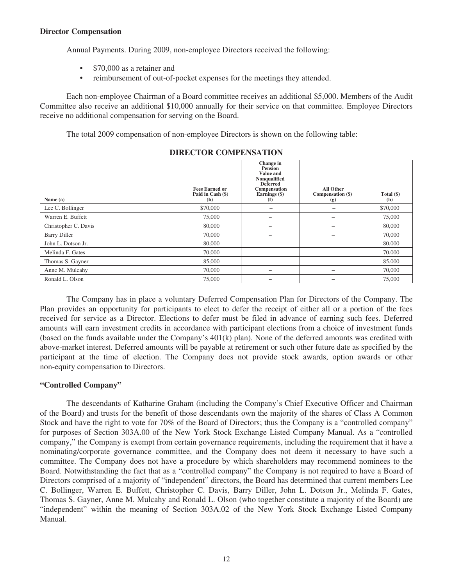## **Director Compensation**

Annual Payments. During 2009, non-employee Directors received the following:

- \$70,000 as a retainer and
- reimbursement of out-of-pocket expenses for the meetings they attended.

Each non-employee Chairman of a Board committee receives an additional \$5,000. Members of the Audit Committee also receive an additional \$10,000 annually for their service on that committee. Employee Directors receive no additional compensation for serving on the Board.

The total 2009 compensation of non-employee Directors is shown on the following table:

| Name (a)             | <b>Fees Earned or</b><br>Paid in Cash (\$)<br>(b) | Change in<br><b>Pension</b><br>Value and<br>Nonqualified<br><b>Deferred</b><br>Compensation<br>Earnings (\$)<br>(f) | <b>All Other</b><br>Compensation (\$)<br>(g) | Total $(\$)$<br>(h) |
|----------------------|---------------------------------------------------|---------------------------------------------------------------------------------------------------------------------|----------------------------------------------|---------------------|
| Lee C. Bollinger     | \$70,000                                          | -                                                                                                                   | $\overline{\phantom{m}}$                     | \$70,000            |
| Warren E. Buffett    | 75,000                                            | $\qquad \qquad$                                                                                                     | -                                            | 75,000              |
| Christopher C. Davis | 80,000                                            | $\hspace{0.05cm}$                                                                                                   |                                              | 80,000              |
| <b>Barry Diller</b>  | 70,000                                            | $\qquad \qquad$                                                                                                     |                                              | 70,000              |
| John L. Dotson Jr.   | 80,000                                            | $\hspace{0.05cm}$                                                                                                   | -                                            | 80,000              |
| Melinda F. Gates     | 70,000                                            | $\qquad \qquad$                                                                                                     |                                              | 70,000              |
| Thomas S. Gayner     | 85,000                                            | $\hspace{0.1mm}-\hspace{0.1mm}$                                                                                     | $\qquad \qquad$                              | 85,000              |
| Anne M. Mulcahy      | 70,000                                            |                                                                                                                     |                                              | 70,000              |
| Ronald L. Olson      | 75,000                                            | $\qquad \qquad$                                                                                                     |                                              | 75,000              |

## **DIRECTOR COMPENSATION**

The Company has in place a voluntary Deferred Compensation Plan for Directors of the Company. The Plan provides an opportunity for participants to elect to defer the receipt of either all or a portion of the fees received for service as a Director. Elections to defer must be filed in advance of earning such fees. Deferred amounts will earn investment credits in accordance with participant elections from a choice of investment funds (based on the funds available under the Company's 401(k) plan). None of the deferred amounts was credited with above-market interest. Deferred amounts will be payable at retirement or such other future date as specified by the participant at the time of election. The Company does not provide stock awards, option awards or other non-equity compensation to Directors.

## **"Controlled Company"**

The descendants of Katharine Graham (including the Company's Chief Executive Officer and Chairman of the Board) and trusts for the benefit of those descendants own the majority of the shares of Class A Common Stock and have the right to vote for 70% of the Board of Directors; thus the Company is a "controlled company" for purposes of Section 303A.00 of the New York Stock Exchange Listed Company Manual. As a "controlled company," the Company is exempt from certain governance requirements, including the requirement that it have a nominating/corporate governance committee, and the Company does not deem it necessary to have such a committee. The Company does not have a procedure by which shareholders may recommend nominees to the Board. Notwithstanding the fact that as a "controlled company" the Company is not required to have a Board of Directors comprised of a majority of "independent" directors, the Board has determined that current members Lee C. Bollinger, Warren E. Buffett, Christopher C. Davis, Barry Diller, John L. Dotson Jr., Melinda F. Gates, Thomas S. Gayner, Anne M. Mulcahy and Ronald L. Olson (who together constitute a majority of the Board) are "independent" within the meaning of Section 303A.02 of the New York Stock Exchange Listed Company Manual.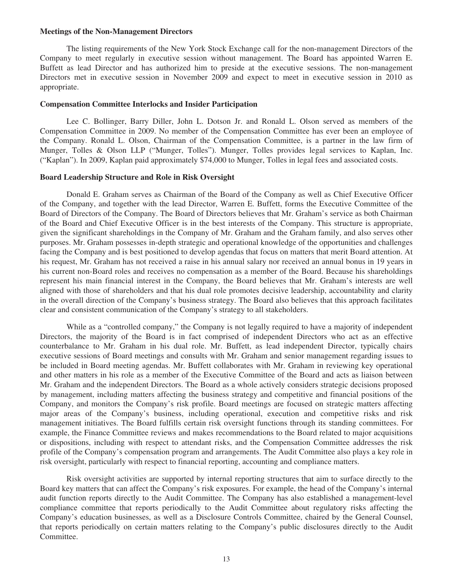#### **Meetings of the Non-Management Directors**

The listing requirements of the New York Stock Exchange call for the non-management Directors of the Company to meet regularly in executive session without management. The Board has appointed Warren E. Buffett as lead Director and has authorized him to preside at the executive sessions. The non-management Directors met in executive session in November 2009 and expect to meet in executive session in 2010 as appropriate.

#### **Compensation Committee Interlocks and Insider Participation**

Lee C. Bollinger, Barry Diller, John L. Dotson Jr. and Ronald L. Olson served as members of the Compensation Committee in 2009. No member of the Compensation Committee has ever been an employee of the Company. Ronald L. Olson, Chairman of the Compensation Committee, is a partner in the law firm of Munger, Tolles & Olson LLP ("Munger, Tolles"). Munger, Tolles provides legal services to Kaplan, Inc. ("Kaplan"). In 2009, Kaplan paid approximately \$74,000 to Munger, Tolles in legal fees and associated costs.

#### **Board Leadership Structure and Role in Risk Oversight**

Donald E. Graham serves as Chairman of the Board of the Company as well as Chief Executive Officer of the Company, and together with the lead Director, Warren E. Buffett, forms the Executive Committee of the Board of Directors of the Company. The Board of Directors believes that Mr. Graham's service as both Chairman of the Board and Chief Executive Officer is in the best interests of the Company. This structure is appropriate, given the significant shareholdings in the Company of Mr. Graham and the Graham family, and also serves other purposes. Mr. Graham possesses in-depth strategic and operational knowledge of the opportunities and challenges facing the Company and is best positioned to develop agendas that focus on matters that merit Board attention. At his request, Mr. Graham has not received a raise in his annual salary nor received an annual bonus in 19 years in his current non-Board roles and receives no compensation as a member of the Board. Because his shareholdings represent his main financial interest in the Company, the Board believes that Mr. Graham's interests are well aligned with those of shareholders and that his dual role promotes decisive leadership, accountability and clarity in the overall direction of the Company's business strategy. The Board also believes that this approach facilitates clear and consistent communication of the Company's strategy to all stakeholders.

While as a "controlled company," the Company is not legally required to have a majority of independent Directors, the majority of the Board is in fact comprised of independent Directors who act as an effective counterbalance to Mr. Graham in his dual role. Mr. Buffett, as lead independent Director, typically chairs executive sessions of Board meetings and consults with Mr. Graham and senior management regarding issues to be included in Board meeting agendas. Mr. Buffett collaborates with Mr. Graham in reviewing key operational and other matters in his role as a member of the Executive Committee of the Board and acts as liaison between Mr. Graham and the independent Directors. The Board as a whole actively considers strategic decisions proposed by management, including matters affecting the business strategy and competitive and financial positions of the Company, and monitors the Company's risk profile. Board meetings are focused on strategic matters affecting major areas of the Company's business, including operational, execution and competitive risks and risk management initiatives. The Board fulfills certain risk oversight functions through its standing committees. For example, the Finance Committee reviews and makes recommendations to the Board related to major acquisitions or dispositions, including with respect to attendant risks, and the Compensation Committee addresses the risk profile of the Company's compensation program and arrangements. The Audit Committee also plays a key role in risk oversight, particularly with respect to financial reporting, accounting and compliance matters.

Risk oversight activities are supported by internal reporting structures that aim to surface directly to the Board key matters that can affect the Company's risk exposures. For example, the head of the Company's internal audit function reports directly to the Audit Committee. The Company has also established a management-level compliance committee that reports periodically to the Audit Committee about regulatory risks affecting the Company's education businesses, as well as a Disclosure Controls Committee, chaired by the General Counsel, that reports periodically on certain matters relating to the Company's public disclosures directly to the Audit Committee.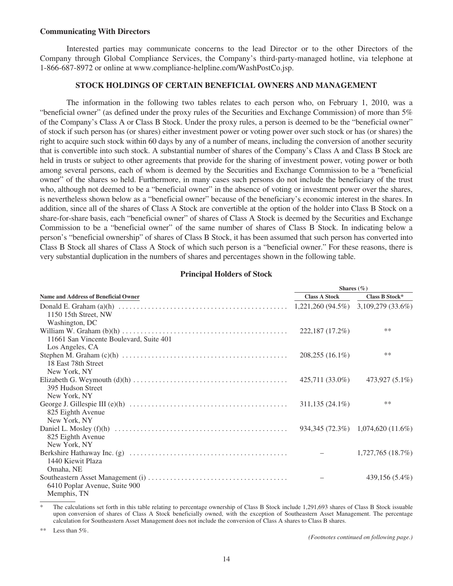#### **Communicating With Directors**

Interested parties may communicate concerns to the lead Director or to the other Directors of the Company through Global Compliance Services, the Company's third-party-managed hotline, via telephone at 1-866-687-8972 or online at www.compliance-helpline.com/WashPostCo.jsp.

## **STOCK HOLDINGS OF CERTAIN BENEFICIAL OWNERS AND MANAGEMENT**

The information in the following two tables relates to each person who, on February 1, 2010, was a "beneficial owner" (as defined under the proxy rules of the Securities and Exchange Commission) of more than  $5\%$ of the Company's Class A or Class B Stock. Under the proxy rules, a person is deemed to be the "beneficial owner" of stock if such person has (or shares) either investment power or voting power over such stock or has (or shares) the right to acquire such stock within 60 days by any of a number of means, including the conversion of another security that is convertible into such stock. A substantial number of shares of the Company's Class A and Class B Stock are held in trusts or subject to other agreements that provide for the sharing of investment power, voting power or both among several persons, each of whom is deemed by the Securities and Exchange Commission to be a "beneficial owner" of the shares so held. Furthermore, in many cases such persons do not include the beneficiary of the trust who, although not deemed to be a "beneficial owner" in the absence of voting or investment power over the shares, is nevertheless shown below as a "beneficial owner" because of the beneficiary's economic interest in the shares. In addition, since all of the shares of Class A Stock are convertible at the option of the holder into Class B Stock on a share-for-share basis, each "beneficial owner" of shares of Class A Stock is deemed by the Securities and Exchange Commission to be a "beneficial owner" of the same number of shares of Class B Stock. In indicating below a person's "beneficial ownership" of shares of Class B Stock, it has been assumed that such person has converted into Class B Stock all shares of Class A Stock of which such person is a "beneficial owner." For these reasons, there is very substantial duplication in the numbers of shares and percentages shown in the following table.

| <b>Principal Holders of Stock</b> |  |  |
|-----------------------------------|--|--|
|-----------------------------------|--|--|

| <b>Name and Address of Beneficial Owner</b>               | <b>Class A Stock</b><br>$1,221,260 (94.5\%)$ $3,109,279 (33.6\%)$ | Class B Stock*                      |
|-----------------------------------------------------------|-------------------------------------------------------------------|-------------------------------------|
|                                                           |                                                                   |                                     |
| 1150 15th Street, NW                                      |                                                                   |                                     |
| Washington, DC<br>11661 San Vincente Boulevard, Suite 401 | 222,187 (17.2%)                                                   | $***$                               |
| Los Angeles, CA<br>18 East 78th Street                    | $208,255(16.1\%)$                                                 | $**$                                |
| New York, NY<br>395 Hudson Street                         | 425,711 (33.0%)                                                   | 473,927 (5.1%)                      |
| New York, NY<br>825 Eighth Avenue                         | $311,135(24.1\%)$                                                 | $**$                                |
| New York, NY<br>825 Eighth Avenue                         |                                                                   | $934,345(72.3\%)$ 1,074,620 (11.6%) |
| New York, NY<br>1440 Kiewit Plaza                         |                                                                   | 1,727,765(18.7%)                    |
| Omaha, NE<br>6410 Poplar Avenue, Suite 900<br>Memphis, TN |                                                                   | 439,156 (5.4%)                      |

The calculations set forth in this table relating to percentage ownership of Class B Stock include 1,291,693 shares of Class B Stock issuable upon conversion of shares of Class A Stock beneficially owned, with the exception of Southeastern Asset Management. The percentage calculation for Southeastern Asset Management does not include the conversion of Class A shares to Class B shares.

\*\* Less than 5%.

*(Footnotes continued on following page.)*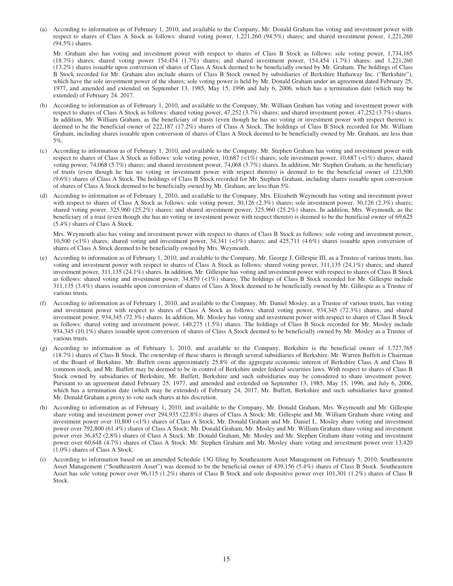(a) According to information as of February 1, 2010, and available to the Company, Mr. Donald Graham has voting and investment power with respect to shares of Class A Stock as follows: shared voting power, 1,221,260 (94.5%) shares; and shared investment power, 1,221,260 (94.5%) shares.

Mr. Graham also has voting and investment power with respect to shares of Class B Stock as follows: sole voting power, 1,734,165 (18.7%) shares; shared voting power 154,454 (1.7%) shares; and shared investment power, 154,454 (1.7%) shares; and 1,221,260 (13.2%) shares issuable upon conversion of shares of Class A Stock deemed to be beneficially owned by Mr. Graham. The holdings of Class B Stock recorded for Mr. Graham also include shares of Class B Stock owned by subsidiaries of Berkshire Hathaway Inc. ("Berkshire"), which have the sole investment power of the shares; sole voting power is held by Mr. Donald Graham under an agreement dated February 25, 1977, and amended and extended on September 13, 1985, May 15, 1996 and July 6, 2006, which has a termination date (which may be extended) of February 24, 2017.

- (b) According to information as of February 1, 2010, and available to the Company, Mr. William Graham has voting and investment power with respect to shares of Class A Stock as follows: shared voting power, 47,252 (3.7%) shares; and shared investment power, 47,252 (3.7%) shares. In addition, Mr. William Graham, as the beneficiary of trusts (even though he has no voting or investment power with respect thereto) is deemed to be the beneficial owner of 222,187 (17.2%) shares of Class A Stock. The holdings of Class B Stock recorded for Mr. William Graham, including shares issuable upon conversion of shares of Class A Stock deemed to be beneficially owned by Mr. Graham, are less than 5%.
- (c) According to information as of February 1, 2010, and available to the Company, Mr. Stephen Graham has voting and investment power with respect to shares of Class A Stock as follows: sole voting power, 10,687 (<1%) shares; sole investment power, 10,687 (<1%) shares; shared voting power, 74,068 (5.7%) shares; and shared investment power, 74,068 (5.7%) shares. In addition, Mr. Stephen Graham, as the beneficiary of trusts (even though he has no voting or investment power with respect thereto) is deemed to be the beneficial owner of 123,500 (9.6%) shares of Class A Stock. The holdings of Class B Stock recorded for Mr. Stephen Graham, including shares issuable upon conversion of shares of Class A Stock deemed to be beneficially owned by Mr. Graham, are less than 5%.
- (d) According to information as of February 1, 2010, and available to the Company, Mrs. Elizabeth Weymouth has voting and investment power with respect to shares of Class A Stock as follows: sole voting power, 30,126 (2.3%) shares; sole investment power, 30,126 (2.3%) shares; shared voting power, 325,960 (25.2%) shares; and shared investment power, 325,960 (25.2%) shares. In addition, Mrs. Weymouth, as the beneficiary of a trust (even though she has no voting or investment power with respect thereto) is deemed to be the beneficial owner of 69,625 (5.4%) shares of Class A Stock.

Mrs. Weymouth also has voting and investment power with respect to shares of Class B Stock as follows: sole voting and investment power, 10,500 (<1%) shares; shared voting and investment power, 34,341 (<1%) shares; and 425,711 (4.6%) shares issuable upon conversion of shares of Class A Stock deemed to be beneficially owned by Mrs. Weymouth.

- (e) According to information as of February 1, 2010, and available to the Company, Mr. George J. Gillespie III, as a Trustee of various trusts, has voting and investment power with respect to shares of Class A Stock as follows: shared voting power, 311,135 (24.1%) shares; and shared investment power, 311,135 (24.1%) shares. In addition, Mr. Gillespie has voting and investment power with respect to shares of Class B Stock as follows: shared voting and investment power, 34,870 (<1%) shares. The holdings of Class B Stock recorded for Mr. Gillespie include 311,135 (3.4%) shares issuable upon conversion of shares of Class A Stock deemed to be beneficially owned by Mr. Gillespie as a Trustee of various trusts.
- (f) According to information as of February 1, 2010, and available to the Company, Mr. Daniel Mosley, as a Trustee of various trusts, has voting and investment power with respect to shares of Class A Stock as follows: shared voting power, 934,345 (72.3%) shares; and shared investment power, 934,345 (72.3%) shares. In addition, Mr. Mosley has voting and investment power with respect to shares of Class B Stock as follows: shared voting and investment power, 140,275 (1.5%) shares. The holdings of Class B Stock recorded for Mr. Mosley include 934,345 (10.1%) shares issuable upon conversion of shares of Class A Stock deemed to be beneficially owned by Mr. Mosley as a Trustee of various trusts.
- (g) According to information as of February 1, 2010, and available to the Company, Berkshire is the beneficial owner of 1,727,765 (18.7%) shares of Class B Stock. The ownership of these shares is through several subsidiaries of Berkshire. Mr. Warren Buffett is Chairman of the Board of Berkshire. Mr. Buffett owns approximately 25.8% of the aggregate economic interest of Berkshire Class A and Class B common stock, and Mr. Buffett may be deemed to be in control of Berkshire under federal securities laws. With respect to shares of Class B Stock owned by subsidiaries of Berkshire, Mr. Buffett, Berkshire and such subsidiaries may be considered to share investment power. Pursuant to an agreement dated February 25, 1977, and amended and extended on September 13, 1985, May 15, 1996, and July 6, 2006, which has a termination date (which may be extended) of February 24, 2017, Mr. Buffett, Berkshire and such subsidiaries have granted Mr. Donald Graham a proxy to vote such shares at his discretion.
- (h) According to information as of February 1, 2010, and available to the Company, Mr. Donald Graham, Mrs. Weymouth and Mr. Gillespie share voting and investment power over 294,935 (22.8%) shares of Class A Stock; Mr. Gillespie and Mr. William Graham share voting and investment power over 10,800 (<1%) shares of Class A Stock; Mr. Donald Graham and Mr. Daniel L. Mosley share voting and investment power over 792,800 (61.4%) shares of Class A Stock; Mr. Donald Graham, Mr. Mosley and Mr. William Graham share voting and investment power over 36,452 (2.8%) shares of Class A Stock; Mr. Donald Graham, Mr. Mosley and Mr. Stephen Graham share voting and investment power over 60,648 (4.7%) shares of Class A Stock; Mr. Stephen Graham and Mr. Mosley share voting and investment power over 13,420 (1.0%) shares of Class A Stock.
- (i) According to information based on an amended Schedule 13G filing by Southeastern Asset Management on February 5, 2010, Southeastern Asset Management ("Southeastern Asset") was deemed to be the beneficial owner of 439,156 (5.4%) shares of Class B Stock. Southeastern Asset has sole voting power over 96,115 (1.2%) shares of Class B Stock and sole dispositive power over 101,301 (1.2%) shares of Class B Stock.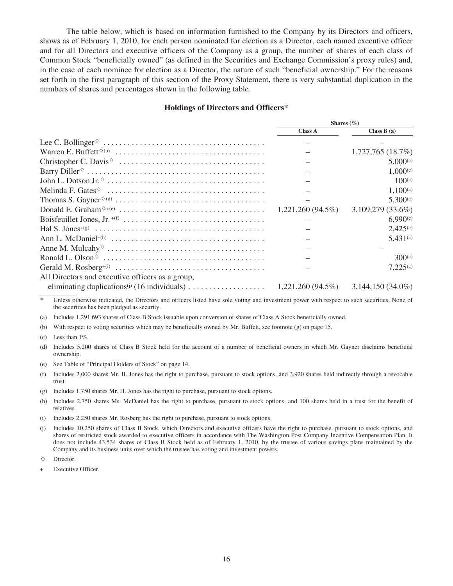The table below, which is based on information furnished to the Company by its Directors and officers, shows as of February 1, 2010, for each person nominated for election as a Director, each named executive officer and for all Directors and executive officers of the Company as a group, the number of shares of each class of Common Stock "beneficially owned" (as defined in the Securities and Exchange Commission's proxy rules) and, in the case of each nominee for election as a Director, the nature of such "beneficial ownership." For the reasons set forth in the first paragraph of this section of the Proxy Statement, there is very substantial duplication in the numbers of shares and percentages shown in the following table.

#### **Holdings of Directors and Officers\***

|                                                                                                                            | Shares $(\% )$ |                      |  |
|----------------------------------------------------------------------------------------------------------------------------|----------------|----------------------|--|
|                                                                                                                            | <b>Class A</b> | Class $B(a)$         |  |
|                                                                                                                            |                |                      |  |
|                                                                                                                            |                | 1,727,765(18.7%)     |  |
|                                                                                                                            |                | 5,000(c)             |  |
| Barry Diller $\circ \dots \circ \dots \circ \dots \circ \dots \circ \dots \circ \dots \circ \dots \circ \dots \dots \dots$ |                | $1,000^{(c)}$        |  |
|                                                                                                                            |                | 100 <sup>(c)</sup>   |  |
| Melinda F. Gates $\circ \dots \dots \dots \dots \dots \dots \dots \dots \dots \dots \dots \dots \dots$                     |                | 1,100(c)             |  |
|                                                                                                                            |                | $5,300^{(c)}$        |  |
|                                                                                                                            |                | $3,109,279(33.6\%)$  |  |
|                                                                                                                            |                | 6.990(c)             |  |
|                                                                                                                            |                | 2,425 <sup>(c)</sup> |  |
|                                                                                                                            |                | 5,431(c)             |  |
|                                                                                                                            |                |                      |  |
|                                                                                                                            |                | 300 <sup>(c)</sup>   |  |
|                                                                                                                            |                | 7,225(c)             |  |
| All Directors and executive officers as a group,                                                                           |                |                      |  |
|                                                                                                                            |                |                      |  |

Unless otherwise indicated, the Directors and officers listed have sole voting and investment power with respect to such securities. None of the securities has been pledged as security.

(a) Includes 1,291,693 shares of Class B Stock issuable upon conversion of shares of Class A Stock beneficially owned.

(b) With respect to voting securities which may be beneficially owned by Mr. Buffett, see footnote (g) on page 15.

(c) Less than  $1\%$ .

(d) Includes 5,200 shares of Class B Stock held for the account of a number of beneficial owners in which Mr. Gayner disclaims beneficial ownership.

(e) See Table of "Principal Holders of Stock" on page 14.

(f) Includes 2,000 shares Mr. B. Jones has the right to purchase, pursuant to stock options, and 3,920 shares held indirectly through a revocable trust.

(g) Includes 1,750 shares Mr. H. Jones has the right to purchase, pursuant to stock options.

(h) Includes 2,750 shares Ms. McDaniel has the right to purchase, pursuant to stock options, and 100 shares held in a trust for the benefit of relatives.

(i) Includes 2,250 shares Mr. Rosberg has the right to purchase, pursuant to stock options.

(j) Includes 10,250 shares of Class B Stock, which Directors and executive officers have the right to purchase, pursuant to stock options, and shares of restricted stock awarded to executive officers in accordance with The Washington Post Company Incentive Compensation Plan. It does not include 43,534 shares of Class B Stock held as of February 1, 2010, by the trustee of various savings plans maintained by the Company and its business units over which the trustee has voting and investment powers.

 $\Diamond$  Director

Executive Officer.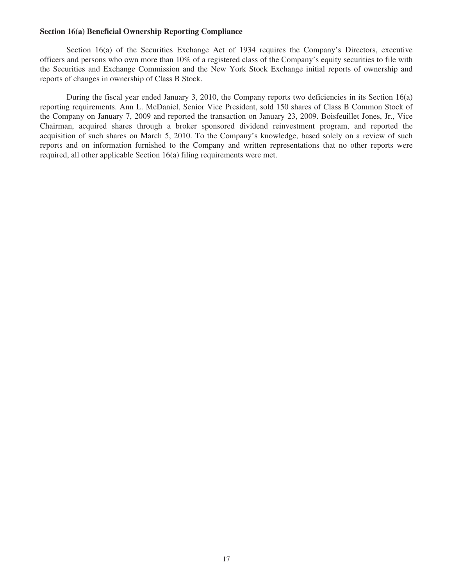#### **Section 16(a) Beneficial Ownership Reporting Compliance**

Section 16(a) of the Securities Exchange Act of 1934 requires the Company's Directors, executive officers and persons who own more than 10% of a registered class of the Company's equity securities to file with the Securities and Exchange Commission and the New York Stock Exchange initial reports of ownership and reports of changes in ownership of Class B Stock.

During the fiscal year ended January 3, 2010, the Company reports two deficiencies in its Section 16(a) reporting requirements. Ann L. McDaniel, Senior Vice President, sold 150 shares of Class B Common Stock of the Company on January 7, 2009 and reported the transaction on January 23, 2009. Boisfeuillet Jones, Jr., Vice Chairman, acquired shares through a broker sponsored dividend reinvestment program, and reported the acquisition of such shares on March 5, 2010. To the Company's knowledge, based solely on a review of such reports and on information furnished to the Company and written representations that no other reports were required, all other applicable Section 16(a) filing requirements were met.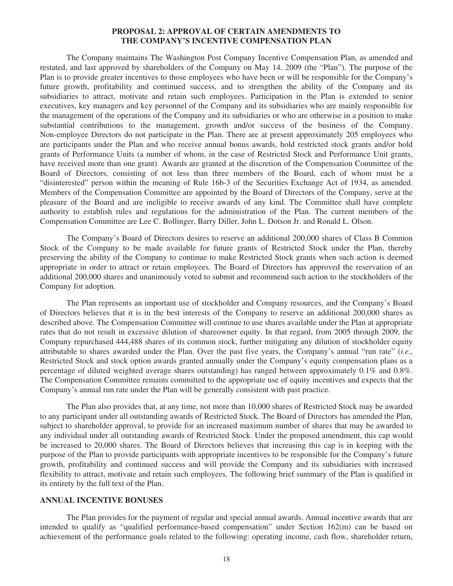## **PROPOSAL 2: APPROVAL OF CERTAIN AMENDMENTS TO THE COMPANY'S INCENTIVE COMPENSATION PLAN**

The Company maintains The Washington Post Company Incentive Compensation Plan, as amended and restated, and last approved by shareholders of the Company on May 14, 2009 (the "Plan"). The purpose of the Plan is to provide greater incentives to those employees who have been or will be responsible for the Company's future growth, profitability and continued success, and to strengthen the ability of the Company and its subsidiaries to attract, motivate and retain such employees. Participation in the Plan is extended to senior executives, key managers and key personnel of the Company and its subsidiaries who are mainly responsible for the management of the operations of the Company and its subsidiaries or who are otherwise in a position to make substantial contributions to the management, growth and/or success of the business of the Company. Non-employee Directors do not participate in the Plan. There are at present approximately 205 employees who are participants under the Plan and who receive annual bonus awards, hold restricted stock grants and/or hold grants of Performance Units (a number of whom, in the case of Restricted Stock and Performance Unit grants, have received more than one grant). Awards are granted at the discretion of the Compensation Committee of the Board of Directors, consisting of not less than three members of the Board, each of whom must be a "disinterested" person within the meaning of Rule 16b-3 of the Securities Exchange Act of 1934, as amended. Members of the Compensation Committee are appointed by the Board of Directors of the Company, serve at the pleasure of the Board and are ineligible to receive awards of any kind. The Committee shall have complete authority to establish rules and regulations for the administration of the Plan. The current members of the Compensation Committee are Lee C. Bollinger, Barry Diller, John L. Dotson Jr. and Ronald L. Olson.

The Company's Board of Directors desires to reserve an additional 200,000 shares of Class B Common Stock of the Company to be made available for future grants of Restricted Stock under the Plan, thereby preserving the ability of the Company to continue to make Restricted Stock grants when such action is deemed appropriate in order to attract or retain employees. The Board of Directors has approved the reservation of an additional 200,000 shares and unanimously voted to submit and recommend such action to the stockholders of the Company for adoption.

The Plan represents an important use of stockholder and Company resources, and the Company's Board of Directors believes that it is in the best interests of the Company to reserve an additional 200,000 shares as described above. The Compensation Committee will continue to use shares available under the Plan at appropriate rates that do not result in excessive dilution of shareowner equity. In that regard, from 2005 through 2009, the Company repurchased 444,488 shares of its common stock, further mitigating any dilution of stockholder equity attributable to shares awarded under the Plan. Over the past five years, the Company's annual "run rate" (*i.e.*, Restricted Stock and stock option awards granted annually under the Company's equity compensation plans as a percentage of diluted weighted average shares outstanding) has ranged between approximately 0.1% and 0.8%. The Compensation Committee remains committed to the appropriate use of equity incentives and expects that the Company's annual run rate under the Plan will be generally consistent with past practice.

The Plan also provides that, at any time, not more than 10,000 shares of Restricted Stock may be awarded to any participant under all outstanding awards of Restricted Stock. The Board of Directors has amended the Plan, subject to shareholder approval, to provide for an increased maximum number of shares that may be awarded to any individual under all outstanding awards of Restricted Stock. Under the proposed amendment, this cap would be increased to 20,000 shares. The Board of Directors believes that increasing this cap is in keeping with the purpose of the Plan to provide participants with appropriate incentives to be responsible for the Company's future growth, profitability and continued success and will provide the Company and its subsidiaries with increased flexibility to attract, motivate and retain such employees. The following brief summary of the Plan is qualified in its entirety by the full text of the Plan.

## **ANNUAL INCENTIVE BONUSES**

The Plan provides for the payment of regular and special annual awards. Annual incentive awards that are intended to qualify as "qualified performance-based compensation" under Section 162(m) can be based on achievement of the performance goals related to the following: operating income, cash flow, shareholder return,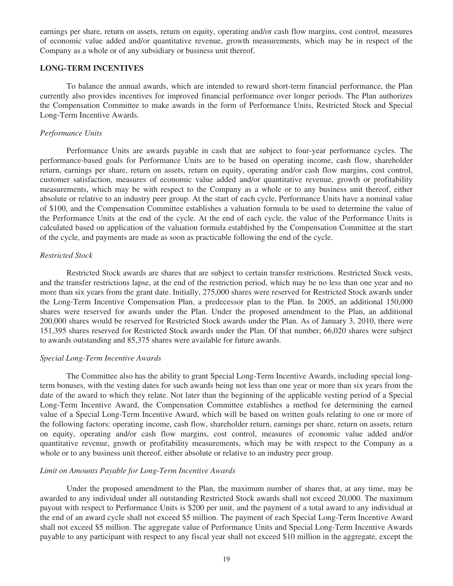earnings per share, return on assets, return on equity, operating and/or cash flow margins, cost control, measures of economic value added and/or quantitative revenue, growth measurements, which may be in respect of the Company as a whole or of any subsidiary or business unit thereof.

#### **LONG-TERM INCENTIVES**

To balance the annual awards, which are intended to reward short-term financial performance, the Plan currently also provides incentives for improved financial performance over longer periods. The Plan authorizes the Compensation Committee to make awards in the form of Performance Units, Restricted Stock and Special Long-Term Incentive Awards.

#### *Performance Units*

Performance Units are awards payable in cash that are subject to four-year performance cycles. The performance-based goals for Performance Units are to be based on operating income, cash flow, shareholder return, earnings per share, return on assets, return on equity, operating and/or cash flow margins, cost control, customer satisfaction, measures of economic value added and/or quantitative revenue, growth or profitability measurements, which may be with respect to the Company as a whole or to any business unit thereof, either absolute or relative to an industry peer group. At the start of each cycle, Performance Units have a nominal value of \$100, and the Compensation Committee establishes a valuation formula to be used to determine the value of the Performance Units at the end of the cycle. At the end of each cycle, the value of the Performance Units is calculated based on application of the valuation formula established by the Compensation Committee at the start of the cycle, and payments are made as soon as practicable following the end of the cycle.

#### *Restricted Stock*

Restricted Stock awards are shares that are subject to certain transfer restrictions. Restricted Stock vests, and the transfer restrictions lapse, at the end of the restriction period, which may be no less than one year and no more than six years from the grant date. Initially, 275,000 shares were reserved for Restricted Stock awards under the Long-Term Incentive Compensation Plan, a predecessor plan to the Plan. In 2005, an additional 150,000 shares were reserved for awards under the Plan. Under the proposed amendment to the Plan, an additional 200,000 shares would be reserved for Restricted Stock awards under the Plan. As of January 3, 2010, there were 151,395 shares reserved for Restricted Stock awards under the Plan. Of that number, 66,020 shares were subject to awards outstanding and 85,375 shares were available for future awards.

### *Special Long-Term Incentive Awards*

The Committee also has the ability to grant Special Long-Term Incentive Awards, including special longterm bonuses, with the vesting dates for such awards being not less than one year or more than six years from the date of the award to which they relate. Not later than the beginning of the applicable vesting period of a Special Long-Term Incentive Award, the Compensation Committee establishes a method for determining the earned value of a Special Long-Term Incentive Award, which will be based on written goals relating to one or more of the following factors: operating income, cash flow, shareholder return, earnings per share, return on assets, return on equity, operating and/or cash flow margins, cost control, measures of economic value added and/or quantitative revenue, growth or profitability measurements, which may be with respect to the Company as a whole or to any business unit thereof, either absolute or relative to an industry peer group.

#### *Limit on Amounts Payable for Long-Term Incentive Awards*

Under the proposed amendment to the Plan, the maximum number of shares that, at any time, may be awarded to any individual under all outstanding Restricted Stock awards shall not exceed 20,000. The maximum payout with respect to Performance Units is \$200 per unit, and the payment of a total award to any individual at the end of an award cycle shall not exceed \$5 million. The payment of each Special Long-Term Incentive Award shall not exceed \$5 million. The aggregate value of Performance Units and Special Long-Term Incentive Awards payable to any participant with respect to any fiscal year shall not exceed \$10 million in the aggregate, except the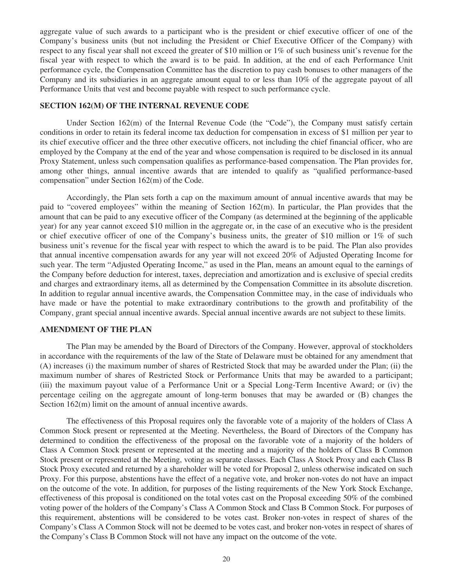aggregate value of such awards to a participant who is the president or chief executive officer of one of the Company's business units (but not including the President or Chief Executive Officer of the Company) with respect to any fiscal year shall not exceed the greater of \$10 million or 1% of such business unit's revenue for the fiscal year with respect to which the award is to be paid. In addition, at the end of each Performance Unit performance cycle, the Compensation Committee has the discretion to pay cash bonuses to other managers of the Company and its subsidiaries in an aggregate amount equal to or less than 10% of the aggregate payout of all Performance Units that vest and become payable with respect to such performance cycle.

### **SECTION 162(M) OF THE INTERNAL REVENUE CODE**

Under Section 162(m) of the Internal Revenue Code (the "Code"), the Company must satisfy certain conditions in order to retain its federal income tax deduction for compensation in excess of \$1 million per year to its chief executive officer and the three other executive officers, not including the chief financial officer, who are employed by the Company at the end of the year and whose compensation is required to be disclosed in its annual Proxy Statement, unless such compensation qualifies as performance-based compensation. The Plan provides for, among other things, annual incentive awards that are intended to qualify as "qualified performance-based compensation" under Section 162(m) of the Code.

Accordingly, the Plan sets forth a cap on the maximum amount of annual incentive awards that may be paid to "covered employees" within the meaning of Section 162(m). In particular, the Plan provides that the amount that can be paid to any executive officer of the Company (as determined at the beginning of the applicable year) for any year cannot exceed \$10 million in the aggregate or, in the case of an executive who is the president or chief executive officer of one of the Company's business units, the greater of \$10 million or 1% of such business unit's revenue for the fiscal year with respect to which the award is to be paid. The Plan also provides that annual incentive compensation awards for any year will not exceed 20% of Adjusted Operating Income for such year. The term "Adjusted Operating Income," as used in the Plan, means an amount equal to the earnings of the Company before deduction for interest, taxes, depreciation and amortization and is exclusive of special credits and charges and extraordinary items, all as determined by the Compensation Committee in its absolute discretion. In addition to regular annual incentive awards, the Compensation Committee may, in the case of individuals who have made or have the potential to make extraordinary contributions to the growth and profitability of the Company, grant special annual incentive awards. Special annual incentive awards are not subject to these limits.

### **AMENDMENT OF THE PLAN**

The Plan may be amended by the Board of Directors of the Company. However, approval of stockholders in accordance with the requirements of the law of the State of Delaware must be obtained for any amendment that (A) increases (i) the maximum number of shares of Restricted Stock that may be awarded under the Plan; (ii) the maximum number of shares of Restricted Stock or Performance Units that may be awarded to a participant; (iii) the maximum payout value of a Performance Unit or a Special Long-Term Incentive Award; or (iv) the percentage ceiling on the aggregate amount of long-term bonuses that may be awarded or (B) changes the Section 162(m) limit on the amount of annual incentive awards.

The effectiveness of this Proposal requires only the favorable vote of a majority of the holders of Class A Common Stock present or represented at the Meeting. Nevertheless, the Board of Directors of the Company has determined to condition the effectiveness of the proposal on the favorable vote of a majority of the holders of Class A Common Stock present or represented at the meeting and a majority of the holders of Class B Common Stock present or represented at the Meeting, voting as separate classes. Each Class A Stock Proxy and each Class B Stock Proxy executed and returned by a shareholder will be voted for Proposal 2, unless otherwise indicated on such Proxy. For this purpose, abstentions have the effect of a negative vote, and broker non-votes do not have an impact on the outcome of the vote. In addition, for purposes of the listing requirements of the New York Stock Exchange, effectiveness of this proposal is conditioned on the total votes cast on the Proposal exceeding 50% of the combined voting power of the holders of the Company's Class A Common Stock and Class B Common Stock. For purposes of this requirement, abstentions will be considered to be votes cast. Broker non-votes in respect of shares of the Company's Class A Common Stock will not be deemed to be votes cast, and broker non-votes in respect of shares of the Company's Class B Common Stock will not have any impact on the outcome of the vote.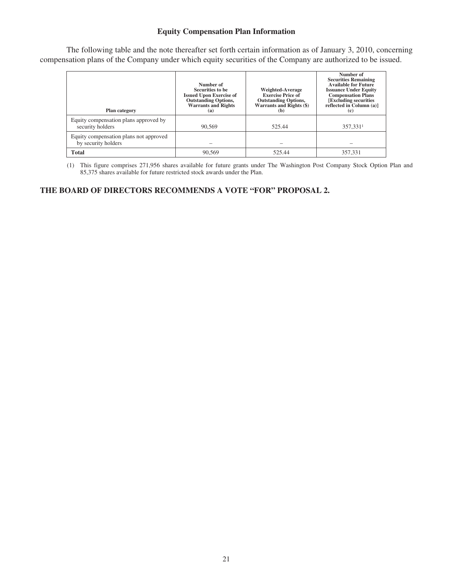## **Equity Compensation Plan Information**

The following table and the note thereafter set forth certain information as of January 3, 2010, concerning compensation plans of the Company under which equity securities of the Company are authorized to be issued.

| <b>Plan category</b>                                          | Number of<br>Securities to be<br><b>Issued Upon Exercise of</b><br><b>Outstanding Options,</b><br><b>Warrants and Rights</b><br>(a) | <b>Weighted-Average</b><br><b>Exercise Price of</b><br><b>Outstanding Options,</b><br><b>Warrants and Rights (\$)</b><br>(b) | Number of<br><b>Securities Remaining</b><br><b>Available for Future</b><br><b>Issuance Under Equity</b><br><b>Compensation Plans</b><br>[Excluding securities]<br>reflected in Column (a)]<br>(c) |
|---------------------------------------------------------------|-------------------------------------------------------------------------------------------------------------------------------------|------------------------------------------------------------------------------------------------------------------------------|---------------------------------------------------------------------------------------------------------------------------------------------------------------------------------------------------|
| Equity compensation plans approved by<br>security holders     | 90.569                                                                                                                              | 525.44                                                                                                                       | 357,3311                                                                                                                                                                                          |
| Equity compensation plans not approved<br>by security holders |                                                                                                                                     |                                                                                                                              |                                                                                                                                                                                                   |
| <b>Total</b>                                                  | 90.569                                                                                                                              | 525.44                                                                                                                       | 357.331                                                                                                                                                                                           |

(1) This figure comprises 271,956 shares available for future grants under The Washington Post Company Stock Option Plan and 85,375 shares available for future restricted stock awards under the Plan.

## **THE BOARD OF DIRECTORS RECOMMENDS A VOTE "FOR" PROPOSAL 2.**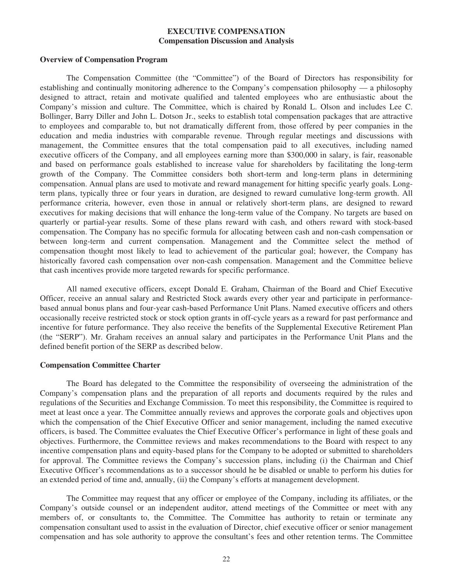## **EXECUTIVE COMPENSATION Compensation Discussion and Analysis**

#### **Overview of Compensation Program**

The Compensation Committee (the "Committee") of the Board of Directors has responsibility for establishing and continually monitoring adherence to the Company's compensation philosophy — a philosophy designed to attract, retain and motivate qualified and talented employees who are enthusiastic about the Company's mission and culture. The Committee, which is chaired by Ronald L. Olson and includes Lee C. Bollinger, Barry Diller and John L. Dotson Jr., seeks to establish total compensation packages that are attractive to employees and comparable to, but not dramatically different from, those offered by peer companies in the education and media industries with comparable revenue. Through regular meetings and discussions with management, the Committee ensures that the total compensation paid to all executives, including named executive officers of the Company, and all employees earning more than \$300,000 in salary, is fair, reasonable and based on performance goals established to increase value for shareholders by facilitating the long-term growth of the Company. The Committee considers both short-term and long-term plans in determining compensation. Annual plans are used to motivate and reward management for hitting specific yearly goals. Longterm plans, typically three or four years in duration, are designed to reward cumulative long-term growth. All performance criteria, however, even those in annual or relatively short-term plans, are designed to reward executives for making decisions that will enhance the long-term value of the Company. No targets are based on quarterly or partial-year results. Some of these plans reward with cash, and others reward with stock-based compensation. The Company has no specific formula for allocating between cash and non-cash compensation or between long-term and current compensation. Management and the Committee select the method of compensation thought most likely to lead to achievement of the particular goal; however, the Company has historically favored cash compensation over non-cash compensation. Management and the Committee believe that cash incentives provide more targeted rewards for specific performance.

All named executive officers, except Donald E. Graham, Chairman of the Board and Chief Executive Officer, receive an annual salary and Restricted Stock awards every other year and participate in performancebased annual bonus plans and four-year cash-based Performance Unit Plans. Named executive officers and others occasionally receive restricted stock or stock option grants in off-cycle years as a reward for past performance and incentive for future performance. They also receive the benefits of the Supplemental Executive Retirement Plan (the "SERP"). Mr. Graham receives an annual salary and participates in the Performance Unit Plans and the defined benefit portion of the SERP as described below.

#### **Compensation Committee Charter**

The Board has delegated to the Committee the responsibility of overseeing the administration of the Company's compensation plans and the preparation of all reports and documents required by the rules and regulations of the Securities and Exchange Commission. To meet this responsibility, the Committee is required to meet at least once a year. The Committee annually reviews and approves the corporate goals and objectives upon which the compensation of the Chief Executive Officer and senior management, including the named executive officers, is based. The Committee evaluates the Chief Executive Officer's performance in light of these goals and objectives. Furthermore, the Committee reviews and makes recommendations to the Board with respect to any incentive compensation plans and equity-based plans for the Company to be adopted or submitted to shareholders for approval. The Committee reviews the Company's succession plans, including (i) the Chairman and Chief Executive Officer's recommendations as to a successor should he be disabled or unable to perform his duties for an extended period of time and, annually, (ii) the Company's efforts at management development.

The Committee may request that any officer or employee of the Company, including its affiliates, or the Company's outside counsel or an independent auditor, attend meetings of the Committee or meet with any members of, or consultants to, the Committee. The Committee has authority to retain or terminate any compensation consultant used to assist in the evaluation of Director, chief executive officer or senior management compensation and has sole authority to approve the consultant's fees and other retention terms. The Committee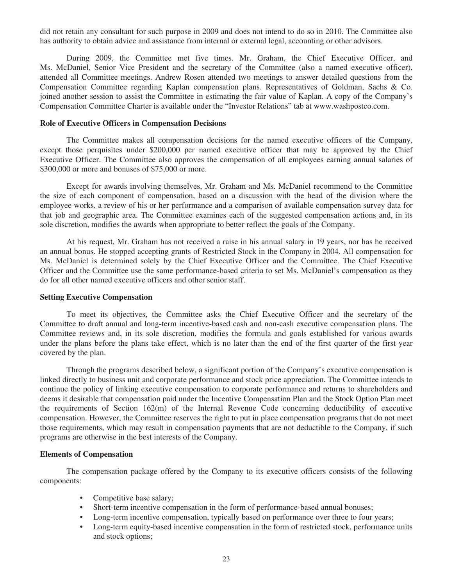did not retain any consultant for such purpose in 2009 and does not intend to do so in 2010. The Committee also has authority to obtain advice and assistance from internal or external legal, accounting or other advisors.

During 2009, the Committee met five times. Mr. Graham, the Chief Executive Officer, and Ms. McDaniel, Senior Vice President and the secretary of the Committee (also a named executive officer), attended all Committee meetings. Andrew Rosen attended two meetings to answer detailed questions from the Compensation Committee regarding Kaplan compensation plans. Representatives of Goldman, Sachs & Co. joined another session to assist the Committee in estimating the fair value of Kaplan. A copy of the Company's Compensation Committee Charter is available under the "Investor Relations" tab at www.washpostco.com.

### **Role of Executive Officers in Compensation Decisions**

The Committee makes all compensation decisions for the named executive officers of the Company, except those perquisites under \$200,000 per named executive officer that may be approved by the Chief Executive Officer. The Committee also approves the compensation of all employees earning annual salaries of \$300,000 or more and bonuses of \$75,000 or more.

Except for awards involving themselves, Mr. Graham and Ms. McDaniel recommend to the Committee the size of each component of compensation, based on a discussion with the head of the division where the employee works, a review of his or her performance and a comparison of available compensation survey data for that job and geographic area. The Committee examines each of the suggested compensation actions and, in its sole discretion, modifies the awards when appropriate to better reflect the goals of the Company.

At his request, Mr. Graham has not received a raise in his annual salary in 19 years, nor has he received an annual bonus. He stopped accepting grants of Restricted Stock in the Company in 2004. All compensation for Ms. McDaniel is determined solely by the Chief Executive Officer and the Committee. The Chief Executive Officer and the Committee use the same performance-based criteria to set Ms. McDaniel's compensation as they do for all other named executive officers and other senior staff.

#### **Setting Executive Compensation**

To meet its objectives, the Committee asks the Chief Executive Officer and the secretary of the Committee to draft annual and long-term incentive-based cash and non-cash executive compensation plans. The Committee reviews and, in its sole discretion, modifies the formula and goals established for various awards under the plans before the plans take effect, which is no later than the end of the first quarter of the first year covered by the plan.

Through the programs described below, a significant portion of the Company's executive compensation is linked directly to business unit and corporate performance and stock price appreciation. The Committee intends to continue the policy of linking executive compensation to corporate performance and returns to shareholders and deems it desirable that compensation paid under the Incentive Compensation Plan and the Stock Option Plan meet the requirements of Section 162(m) of the Internal Revenue Code concerning deductibility of executive compensation. However, the Committee reserves the right to put in place compensation programs that do not meet those requirements, which may result in compensation payments that are not deductible to the Company, if such programs are otherwise in the best interests of the Company.

#### **Elements of Compensation**

The compensation package offered by the Company to its executive officers consists of the following components:

- Competitive base salary;
- Short-term incentive compensation in the form of performance-based annual bonuses;
- Long-term incentive compensation, typically based on performance over three to four years;
- Long-term equity-based incentive compensation in the form of restricted stock, performance units and stock options;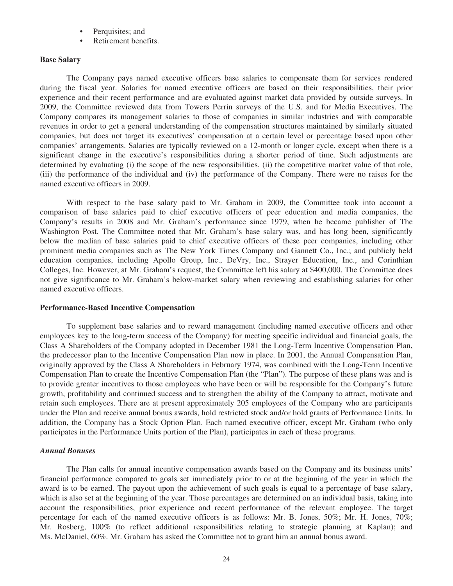- Perquisites; and
- Retirement benefits.

## **Base Salary**

The Company pays named executive officers base salaries to compensate them for services rendered during the fiscal year. Salaries for named executive officers are based on their responsibilities, their prior experience and their recent performance and are evaluated against market data provided by outside surveys. In 2009, the Committee reviewed data from Towers Perrin surveys of the U.S. and for Media Executives. The Company compares its management salaries to those of companies in similar industries and with comparable revenues in order to get a general understanding of the compensation structures maintained by similarly situated companies, but does not target its executives' compensation at a certain level or percentage based upon other companies' arrangements. Salaries are typically reviewed on a 12-month or longer cycle, except when there is a significant change in the executive's responsibilities during a shorter period of time. Such adjustments are determined by evaluating (i) the scope of the new responsibilities, (ii) the competitive market value of that role, (iii) the performance of the individual and (iv) the performance of the Company. There were no raises for the named executive officers in 2009.

With respect to the base salary paid to Mr. Graham in 2009, the Committee took into account a comparison of base salaries paid to chief executive officers of peer education and media companies, the Company's results in 2008 and Mr. Graham's performance since 1979, when he became publisher of The Washington Post. The Committee noted that Mr. Graham's base salary was, and has long been, significantly below the median of base salaries paid to chief executive officers of these peer companies, including other prominent media companies such as The New York Times Company and Gannett Co., Inc.; and publicly held education companies, including Apollo Group, Inc., DeVry, Inc., Strayer Education, Inc., and Corinthian Colleges, Inc. However, at Mr. Graham's request, the Committee left his salary at \$400,000. The Committee does not give significance to Mr. Graham's below-market salary when reviewing and establishing salaries for other named executive officers.

## **Performance-Based Incentive Compensation**

To supplement base salaries and to reward management (including named executive officers and other employees key to the long-term success of the Company) for meeting specific individual and financial goals, the Class A Shareholders of the Company adopted in December 1981 the Long-Term Incentive Compensation Plan, the predecessor plan to the Incentive Compensation Plan now in place. In 2001, the Annual Compensation Plan, originally approved by the Class A Shareholders in February 1974, was combined with the Long-Term Incentive Compensation Plan to create the Incentive Compensation Plan (the "Plan"). The purpose of these plans was and is to provide greater incentives to those employees who have been or will be responsible for the Company's future growth, profitability and continued success and to strengthen the ability of the Company to attract, motivate and retain such employees. There are at present approximately 205 employees of the Company who are participants under the Plan and receive annual bonus awards, hold restricted stock and/or hold grants of Performance Units. In addition, the Company has a Stock Option Plan. Each named executive officer, except Mr. Graham (who only participates in the Performance Units portion of the Plan), participates in each of these programs.

## *Annual Bonuses*

The Plan calls for annual incentive compensation awards based on the Company and its business units' financial performance compared to goals set immediately prior to or at the beginning of the year in which the award is to be earned. The payout upon the achievement of such goals is equal to a percentage of base salary, which is also set at the beginning of the year. Those percentages are determined on an individual basis, taking into account the responsibilities, prior experience and recent performance of the relevant employee. The target percentage for each of the named executive officers is as follows: Mr. B. Jones, 50%; Mr. H. Jones, 70%; Mr. Rosberg, 100% (to reflect additional responsibilities relating to strategic planning at Kaplan); and Ms. McDaniel, 60%. Mr. Graham has asked the Committee not to grant him an annual bonus award.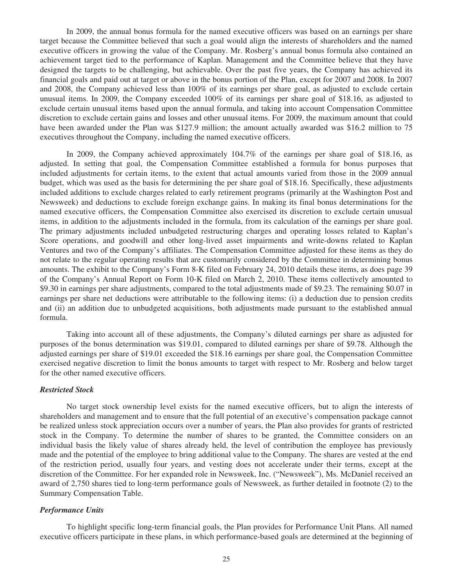In 2009, the annual bonus formula for the named executive officers was based on an earnings per share target because the Committee believed that such a goal would align the interests of shareholders and the named executive officers in growing the value of the Company. Mr. Rosberg's annual bonus formula also contained an achievement target tied to the performance of Kaplan. Management and the Committee believe that they have designed the targets to be challenging, but achievable. Over the past five years, the Company has achieved its financial goals and paid out at target or above in the bonus portion of the Plan, except for 2007 and 2008. In 2007 and 2008, the Company achieved less than 100% of its earnings per share goal, as adjusted to exclude certain unusual items. In 2009, the Company exceeded 100% of its earnings per share goal of \$18.16, as adjusted to exclude certain unusual items based upon the annual formula, and taking into account Compensation Committee discretion to exclude certain gains and losses and other unusual items. For 2009, the maximum amount that could have been awarded under the Plan was \$127.9 million; the amount actually awarded was \$16.2 million to 75 executives throughout the Company, including the named executive officers.

In 2009, the Company achieved approximately 104.7% of the earnings per share goal of \$18.16, as adjusted. In setting that goal, the Compensation Committee established a formula for bonus purposes that included adjustments for certain items, to the extent that actual amounts varied from those in the 2009 annual budget, which was used as the basis for determining the per share goal of \$18.16. Specifically, these adjustments included additions to exclude charges related to early retirement programs (primarily at the Washington Post and Newsweek) and deductions to exclude foreign exchange gains. In making its final bonus determinations for the named executive officers, the Compensation Committee also exercised its discretion to exclude certain unusual items, in addition to the adjustments included in the formula, from its calculation of the earnings per share goal. The primary adjustments included unbudgeted restructuring charges and operating losses related to Kaplan's Score operations, and goodwill and other long-lived asset impairments and write-downs related to Kaplan Ventures and two of the Company's affiliates. The Compensation Committee adjusted for these items as they do not relate to the regular operating results that are customarily considered by the Committee in determining bonus amounts. The exhibit to the Company's Form 8-K filed on February 24, 2010 details these items, as does page 39 of the Company's Annual Report on Form 10-K filed on March 2, 2010. These items collectively amounted to \$9.30 in earnings per share adjustments, compared to the total adjustments made of \$9.23. The remaining \$0.07 in earnings per share net deductions were attributable to the following items: (i) a deduction due to pension credits and (ii) an addition due to unbudgeted acquisitions, both adjustments made pursuant to the established annual formula.

Taking into account all of these adjustments, the Company's diluted earnings per share as adjusted for purposes of the bonus determination was \$19.01, compared to diluted earnings per share of \$9.78. Although the adjusted earnings per share of \$19.01 exceeded the \$18.16 earnings per share goal, the Compensation Committee exercised negative discretion to limit the bonus amounts to target with respect to Mr. Rosberg and below target for the other named executive officers.

#### *Restricted Stock*

No target stock ownership level exists for the named executive officers, but to align the interests of shareholders and management and to ensure that the full potential of an executive's compensation package cannot be realized unless stock appreciation occurs over a number of years, the Plan also provides for grants of restricted stock in the Company. To determine the number of shares to be granted, the Committee considers on an individual basis the likely value of shares already held, the level of contribution the employee has previously made and the potential of the employee to bring additional value to the Company. The shares are vested at the end of the restriction period, usually four years, and vesting does not accelerate under their terms, except at the discretion of the Committee. For her expanded role in Newsweek, Inc. ("Newsweek"), Ms. McDaniel received an award of 2,750 shares tied to long-term performance goals of Newsweek, as further detailed in footnote (2) to the Summary Compensation Table.

## *Performance Units*

To highlight specific long-term financial goals, the Plan provides for Performance Unit Plans. All named executive officers participate in these plans, in which performance-based goals are determined at the beginning of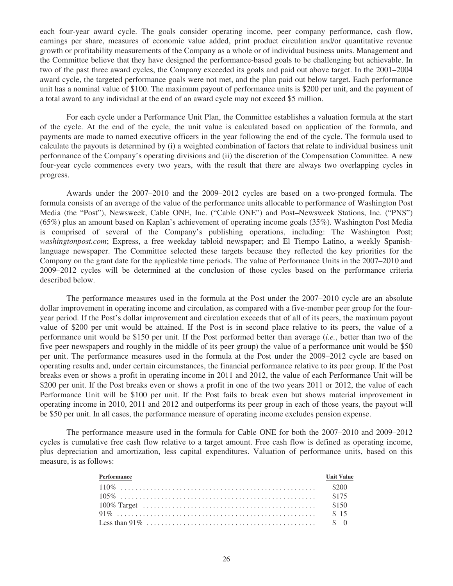each four-year award cycle. The goals consider operating income, peer company performance, cash flow, earnings per share, measures of economic value added, print product circulation and/or quantitative revenue growth or profitability measurements of the Company as a whole or of individual business units. Management and the Committee believe that they have designed the performance-based goals to be challenging but achievable. In two of the past three award cycles, the Company exceeded its goals and paid out above target. In the 2001–2004 award cycle, the targeted performance goals were not met, and the plan paid out below target. Each performance unit has a nominal value of \$100. The maximum payout of performance units is \$200 per unit, and the payment of a total award to any individual at the end of an award cycle may not exceed \$5 million.

For each cycle under a Performance Unit Plan, the Committee establishes a valuation formula at the start of the cycle. At the end of the cycle, the unit value is calculated based on application of the formula, and payments are made to named executive officers in the year following the end of the cycle. The formula used to calculate the payouts is determined by (i) a weighted combination of factors that relate to individual business unit performance of the Company's operating divisions and (ii) the discretion of the Compensation Committee. A new four-year cycle commences every two years, with the result that there are always two overlapping cycles in progress.

Awards under the 2007–2010 and the 2009–2012 cycles are based on a two-pronged formula. The formula consists of an average of the value of the performance units allocable to performance of Washington Post Media (the "Post"), Newsweek, Cable ONE, Inc. ("Cable ONE") and Post–Newsweek Stations, Inc. ("PNS") (65%) plus an amount based on Kaplan's achievement of operating income goals (35%). Washington Post Media is comprised of several of the Company's publishing operations, including: The Washington Post; *washingtonpost.com*; Express, a free weekday tabloid newspaper; and El Tiempo Latino, a weekly Spanishlanguage newspaper. The Committee selected these targets because they reflected the key priorities for the Company on the grant date for the applicable time periods. The value of Performance Units in the 2007–2010 and 2009–2012 cycles will be determined at the conclusion of those cycles based on the performance criteria described below.

The performance measures used in the formula at the Post under the 2007–2010 cycle are an absolute dollar improvement in operating income and circulation, as compared with a five-member peer group for the fouryear period. If the Post's dollar improvement and circulation exceeds that of all of its peers, the maximum payout value of \$200 per unit would be attained. If the Post is in second place relative to its peers, the value of a performance unit would be \$150 per unit. If the Post performed better than average (*i.e.*, better than two of the five peer newspapers and roughly in the middle of its peer group) the value of a performance unit would be \$50 per unit. The performance measures used in the formula at the Post under the 2009–2012 cycle are based on operating results and, under certain circumstances, the financial performance relative to its peer group. If the Post breaks even or shows a profit in operating income in 2011 and 2012, the value of each Performance Unit will be \$200 per unit. If the Post breaks even or shows a profit in one of the two years 2011 or 2012, the value of each Performance Unit will be \$100 per unit. If the Post fails to break even but shows material improvement in operating income in 2010, 2011 and 2012 and outperforms its peer group in each of those years, the payout will be \$50 per unit. In all cases, the performance measure of operating income excludes pension expense.

The performance measure used in the formula for Cable ONE for both the 2007–2010 and 2009–2012 cycles is cumulative free cash flow relative to a target amount. Free cash flow is defined as operating income, plus depreciation and amortization, less capital expenditures. Valuation of performance units, based on this measure, is as follows:

| Performance | <b>Unit Value</b> |
|-------------|-------------------|
|             |                   |
|             |                   |
|             |                   |
|             |                   |
|             |                   |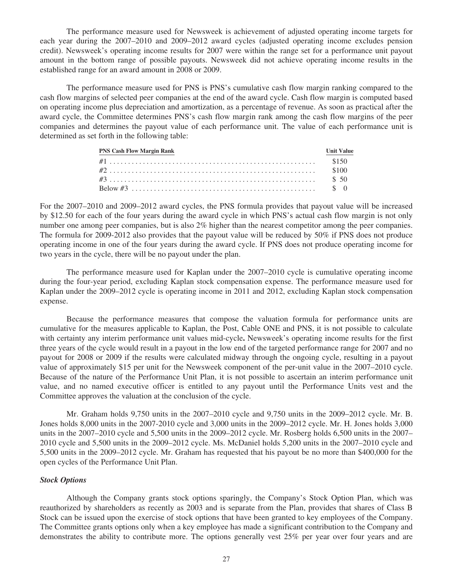The performance measure used for Newsweek is achievement of adjusted operating income targets for each year during the 2007–2010 and 2009–2012 award cycles (adjusted operating income excludes pension credit). Newsweek's operating income results for 2007 were within the range set for a performance unit payout amount in the bottom range of possible payouts. Newsweek did not achieve operating income results in the established range for an award amount in 2008 or 2009.

The performance measure used for PNS is PNS's cumulative cash flow margin ranking compared to the cash flow margins of selected peer companies at the end of the award cycle. Cash flow margin is computed based on operating income plus depreciation and amortization, as a percentage of revenue. As soon as practical after the award cycle, the Committee determines PNS's cash flow margin rank among the cash flow margins of the peer companies and determines the payout value of each performance unit. The value of each performance unit is determined as set forth in the following table:

| <b>PNS Cash Flow Margin Rank</b> | <b>Unit Value</b> |
|----------------------------------|-------------------|
|                                  |                   |
|                                  |                   |
|                                  |                   |
|                                  |                   |

For the 2007–2010 and 2009–2012 award cycles, the PNS formula provides that payout value will be increased by \$12.50 for each of the four years during the award cycle in which PNS's actual cash flow margin is not only number one among peer companies, but is also 2% higher than the nearest competitor among the peer companies. The formula for 2009-2012 also provides that the payout value will be reduced by 50% if PNS does not produce operating income in one of the four years during the award cycle. If PNS does not produce operating income for two years in the cycle, there will be no payout under the plan.

The performance measure used for Kaplan under the 2007–2010 cycle is cumulative operating income during the four-year period, excluding Kaplan stock compensation expense. The performance measure used for Kaplan under the 2009–2012 cycle is operating income in 2011 and 2012, excluding Kaplan stock compensation expense.

Because the performance measures that compose the valuation formula for performance units are cumulative for the measures applicable to Kaplan, the Post, Cable ONE and PNS, it is not possible to calculate with certainty any interim performance unit values mid-cycle**.** Newsweek's operating income results for the first three years of the cycle would result in a payout in the low end of the targeted performance range for 2007 and no payout for 2008 or 2009 if the results were calculated midway through the ongoing cycle, resulting in a payout value of approximately \$15 per unit for the Newsweek component of the per-unit value in the 2007–2010 cycle. Because of the nature of the Performance Unit Plan, it is not possible to ascertain an interim performance unit value, and no named executive officer is entitled to any payout until the Performance Units vest and the Committee approves the valuation at the conclusion of the cycle.

Mr. Graham holds 9,750 units in the 2007–2010 cycle and 9,750 units in the 2009–2012 cycle. Mr. B. Jones holds 8,000 units in the 2007-2010 cycle and 3,000 units in the 2009–2012 cycle. Mr. H. Jones holds 3,000 units in the 2007–2010 cycle and 5,500 units in the 2009–2012 cycle. Mr. Rosberg holds 6,500 units in the 2007– 2010 cycle and 5,500 units in the 2009–2012 cycle. Ms. McDaniel holds 5,200 units in the 2007–2010 cycle and 5,500 units in the 2009–2012 cycle. Mr. Graham has requested that his payout be no more than \$400,000 for the open cycles of the Performance Unit Plan.

## *Stock Options*

Although the Company grants stock options sparingly, the Company's Stock Option Plan, which was reauthorized by shareholders as recently as 2003 and is separate from the Plan, provides that shares of Class B Stock can be issued upon the exercise of stock options that have been granted to key employees of the Company. The Committee grants options only when a key employee has made a significant contribution to the Company and demonstrates the ability to contribute more. The options generally vest 25% per year over four years and are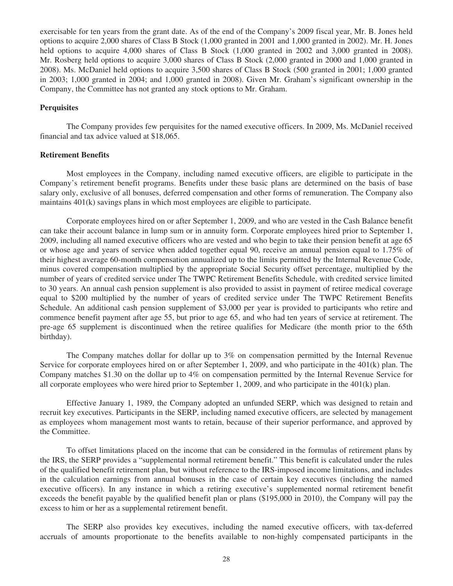exercisable for ten years from the grant date. As of the end of the Company's 2009 fiscal year, Mr. B. Jones held options to acquire 2,000 shares of Class B Stock (1,000 granted in 2001 and 1,000 granted in 2002). Mr. H. Jones held options to acquire 4,000 shares of Class B Stock (1,000 granted in 2002 and 3,000 granted in 2008). Mr. Rosberg held options to acquire 3,000 shares of Class B Stock (2,000 granted in 2000 and 1,000 granted in 2008). Ms. McDaniel held options to acquire 3,500 shares of Class B Stock (500 granted in 2001; 1,000 granted in 2003; 1,000 granted in 2004; and 1,000 granted in 2008). Given Mr. Graham's significant ownership in the Company, the Committee has not granted any stock options to Mr. Graham.

### **Perquisites**

The Company provides few perquisites for the named executive officers. In 2009, Ms. McDaniel received financial and tax advice valued at \$18,065.

#### **Retirement Benefits**

Most employees in the Company, including named executive officers, are eligible to participate in the Company's retirement benefit programs. Benefits under these basic plans are determined on the basis of base salary only, exclusive of all bonuses, deferred compensation and other forms of remuneration. The Company also maintains 401(k) savings plans in which most employees are eligible to participate.

Corporate employees hired on or after September 1, 2009, and who are vested in the Cash Balance benefit can take their account balance in lump sum or in annuity form. Corporate employees hired prior to September 1, 2009, including all named executive officers who are vested and who begin to take their pension benefit at age 65 or whose age and years of service when added together equal 90, receive an annual pension equal to 1.75% of their highest average 60-month compensation annualized up to the limits permitted by the Internal Revenue Code, minus covered compensation multiplied by the appropriate Social Security offset percentage, multiplied by the number of years of credited service under The TWPC Retirement Benefits Schedule, with credited service limited to 30 years. An annual cash pension supplement is also provided to assist in payment of retiree medical coverage equal to \$200 multiplied by the number of years of credited service under The TWPC Retirement Benefits Schedule. An additional cash pension supplement of \$3,000 per year is provided to participants who retire and commence benefit payment after age 55, but prior to age 65, and who had ten years of service at retirement. The pre-age 65 supplement is discontinued when the retiree qualifies for Medicare (the month prior to the 65th birthday).

The Company matches dollar for dollar up to 3% on compensation permitted by the Internal Revenue Service for corporate employees hired on or after September 1, 2009, and who participate in the 401(k) plan. The Company matches \$1.30 on the dollar up to 4% on compensation permitted by the Internal Revenue Service for all corporate employees who were hired prior to September 1, 2009, and who participate in the 401(k) plan.

Effective January 1, 1989, the Company adopted an unfunded SERP, which was designed to retain and recruit key executives. Participants in the SERP, including named executive officers, are selected by management as employees whom management most wants to retain, because of their superior performance, and approved by the Committee.

To offset limitations placed on the income that can be considered in the formulas of retirement plans by the IRS, the SERP provides a "supplemental normal retirement benefit." This benefit is calculated under the rules of the qualified benefit retirement plan, but without reference to the IRS-imposed income limitations, and includes in the calculation earnings from annual bonuses in the case of certain key executives (including the named executive officers). In any instance in which a retiring executive's supplemented normal retirement benefit exceeds the benefit payable by the qualified benefit plan or plans (\$195,000 in 2010), the Company will pay the excess to him or her as a supplemental retirement benefit.

The SERP also provides key executives, including the named executive officers, with tax-deferred accruals of amounts proportionate to the benefits available to non-highly compensated participants in the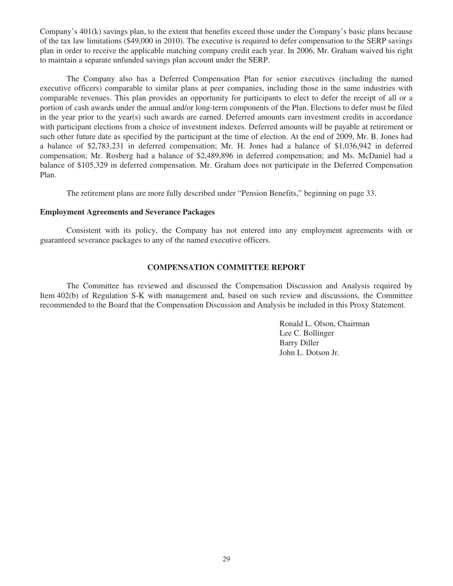Company's 401(k) savings plan, to the extent that benefits exceed those under the Company's basic plans because of the tax law limitations (\$49,000 in 2010). The executive is required to defer compensation to the SERP savings plan in order to receive the applicable matching company credit each year. In 2006, Mr. Graham waived his right to maintain a separate unfunded savings plan account under the SERP.

The Company also has a Deferred Compensation Plan for senior executives (including the named executive officers) comparable to similar plans at peer companies, including those in the same industries with comparable revenues. This plan provides an opportunity for participants to elect to defer the receipt of all or a portion of cash awards under the annual and/or long-term components of the Plan. Elections to defer must be filed in the year prior to the year(s) such awards are earned. Deferred amounts earn investment credits in accordance with participant elections from a choice of investment indexes. Deferred amounts will be payable at retirement or such other future date as specified by the participant at the time of election. At the end of 2009, Mr. B. Jones had a balance of \$2,783,231 in deferred compensation; Mr. H. Jones had a balance of \$1,036,942 in deferred compensation; Mr. Rosberg had a balance of \$2,489,896 in deferred compensation; and Ms. McDaniel had a balance of \$105,329 in deferred compensation. Mr. Graham does not participate in the Deferred Compensation Plan.

The retirement plans are more fully described under "Pension Benefits," beginning on page 33.

## **Employment Agreements and Severance Packages**

Consistent with its policy, the Company has not entered into any employment agreements with or guaranteed severance packages to any of the named executive officers.

## **COMPENSATION COMMITTEE REPORT**

The Committee has reviewed and discussed the Compensation Discussion and Analysis required by Item 402(b) of Regulation S-K with management and, based on such review and discussions, the Committee recommended to the Board that the Compensation Discussion and Analysis be included in this Proxy Statement.

> Ronald L. Olson, Chairman Lee C. Bollinger Barry Diller John L. Dotson Jr.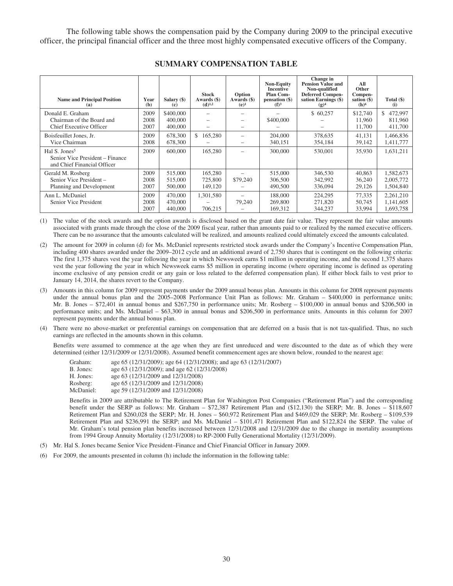The following table shows the compensation paid by the Company during 2009 to the principal executive officer, the principal financial officer and the three most highly compensated executive officers of the Company.

| <b>Name and Principal Position</b><br>(a)                                                   | Year<br>(b)          | Salary (\$)<br>$\left( \mathbf{c} \right)$ | <b>Stock</b><br>Awards (\$)<br>$(d)^{1,2}$ | Option<br>Awards $(\$)$<br>(e) <sup>1</sup> | <b>Non-Equity</b><br><b>Incentive</b><br><b>Plan Com-</b><br>pensation (\$)<br>(f) <sup>3</sup> | Change in<br>Pension Value and<br>Non-qualified<br><b>Deferred Compen-</b><br>sation Earnings (\$)<br>$(g)^4$ | All<br>Other<br>Compen-<br>sation $(\$)$<br>$(h)^6$ | Total $(\$)$<br>(i)                 |
|---------------------------------------------------------------------------------------------|----------------------|--------------------------------------------|--------------------------------------------|---------------------------------------------|-------------------------------------------------------------------------------------------------|---------------------------------------------------------------------------------------------------------------|-----------------------------------------------------|-------------------------------------|
| Donald E. Graham<br>Chairman of the Board and<br><b>Chief Executive Officer</b>             | 2009<br>2008<br>2007 | \$400,000<br>400,000<br>400,000            |                                            |                                             | \$400,000                                                                                       | \$60,257                                                                                                      | \$12,740<br>11.960<br>11,700                        | 472,997<br>S.<br>811,960<br>411,700 |
| Boisfeuillet Jones, Jr.<br>Vice Chairman                                                    | 2009<br>2008         | 678,300<br>678,300                         | 165,280<br>\$                              | -                                           | 204,000<br>340,151                                                                              | 378,635<br>354,184                                                                                            | 41.131<br>39,142                                    | 1,466,836<br>1,411,777              |
| Hal S. Jones <sup>5</sup><br>Senior Vice President – Finance<br>and Chief Financial Officer | 2009                 | 600,000                                    | 165,280                                    |                                             | 300,000                                                                                         | 530,001                                                                                                       | 35,930                                              | 1,631,211                           |
| Gerald M. Rosberg<br>Senior Vice President-<br>Planning and Development                     | 2009<br>2008<br>2007 | 515,000<br>515,000<br>500,000              | 165.280<br>725,800<br>149,120              | \$79,240                                    | 515,000<br>306,500<br>490,500                                                                   | 346,530<br>342,992<br>336,094                                                                                 | 40,863<br>36,240<br>29,126                          | 1,582,673<br>2,005,772<br>1,504,840 |
| Ann L. McDaniel<br>Senior Vice President                                                    | 2009<br>2008<br>2007 | 470,000<br>470,000<br>440,000              | 1,301,580<br>706,215                       | 79,240                                      | 188,000<br>269,800<br>169,312                                                                   | 224,295<br>271,820<br>344,237                                                                                 | 77.335<br>50,745<br>33,994                          | 2,261,210<br>1,141,605<br>1,693,758 |

#### **SUMMARY COMPENSATION TABLE**

(1) The value of the stock awards and the option awards is disclosed based on the grant date fair value. They represent the fair value amounts associated with grants made through the close of the 2009 fiscal year, rather than amounts paid to or realized by the named executive officers. There can be no assurance that the amounts calculated will be realized, and amounts realized could ultimately exceed the amounts calculated.

(2) The amount for 2009 in column (d) for Ms. McDaniel represents restricted stock awards under the Company's Incentive Compensation Plan, including 400 shares awarded under the 2009–2012 cycle and an additional award of 2,750 shares that is contingent on the following criteria: The first 1,375 shares vest the year following the year in which Newsweek earns \$1 million in operating income, and the second 1,375 shares vest the year following the year in which Newsweek earns \$5 million in operating income (where operating income is defined as operating income exclusive of any pension credit or any gain or loss related to the deferred compensation plan). If either block fails to vest prior to January 14, 2014, the shares revert to the Company.

- (3) Amounts in this column for 2009 represent payments under the 2009 annual bonus plan. Amounts in this column for 2008 represent payments under the annual bonus plan and the 2005–2008 Performance Unit Plan as follows: Mr. Graham – \$400,000 in performance units; Mr. B. Jones – \$72,401 in annual bonus and \$267,750 in performance units; Mr. Rosberg – \$100,000 in annual bonus and \$206,500 in performance units; and Ms. McDaniel – \$63,300 in annual bonus and \$206,500 in performance units. Amounts in this column for 2007 represent payments under the annual bonus plan.
- (4) There were no above-market or preferential earnings on compensation that are deferred on a basis that is not tax-qualified. Thus, no such earnings are reflected in the amounts shown in this column.

Benefits were assumed to commence at the age when they are first unreduced and were discounted to the date as of which they were determined (either 12/31/2009 or 12/31/2008). Assumed benefit commencement ages are shown below, rounded to the nearest age:

| Graham:   | age 65 (12/31/2009); age 64 (12/31/2008); and age 63 (12/31/2007) |
|-----------|-------------------------------------------------------------------|
| B. Jones: | age 63 (12/31/2009); and age 62 (12/31/2008)                      |
| H. Jones: | age 63 (12/31/2009 and 12/31/2008)                                |
| Rosberg:  | age 65 (12/31/2009 and 12/31/2008)                                |
| McDaniel: | age 59 (12/31/2009 and 12/31/2008)                                |

Benefits in 2009 are attributable to The Retirement Plan for Washington Post Companies ("Retirement Plan") and the corresponding benefit under the SERP as follows: Mr. Graham – \$72,387 Retirement Plan and (\$12,130) the SERP; Mr. B. Jones – \$118,607 Retirement Plan and \$260,028 the SERP; Mr. H. Jones – \$60,972 Retirement Plan and \$469,029 the SERP; Mr. Rosberg – \$109,539 Retirement Plan and \$236,991 the SERP; and Ms. McDaniel – \$101,471 Retirement Plan and \$122,824 the SERP. The value of Mr. Graham's total pension plan benefits increased between 12/31/2008 and 12/31/2009 due to the change in mortality assumptions from 1994 Group Annuity Mortality (12/31/2008) to RP-2000 Fully Generational Mortality (12/31/2009).

- (5) Mr. Hal S. Jones became Senior Vice President–Finance and Chief Financial Officer in January 2009.
- (6) For 2009, the amounts presented in column (h) include the information in the following table: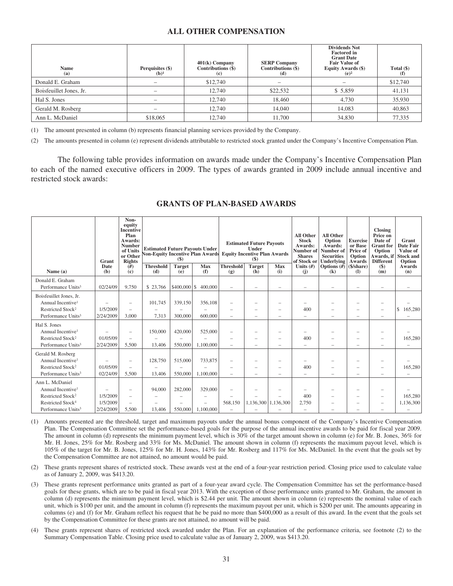## **ALL OTHER COMPENSATION**

| <b>Name</b><br>(a)      | Perquisites (\$)<br>$(b)^1$ | $401(k)$ Company<br>Contributions (\$)<br>(c) | <b>SERP Company</b><br>Contributions (\$)<br>(d) | <b>Dividends Not</b><br><b>Factored in</b><br><b>Grant Date</b><br><b>Fair Value of</b><br>Equity Awards (\$)<br>$(e)^2$ | Total $(\$)$<br>$\rm(f)$ |
|-------------------------|-----------------------------|-----------------------------------------------|--------------------------------------------------|--------------------------------------------------------------------------------------------------------------------------|--------------------------|
| Donald E. Graham        |                             | \$12,740                                      |                                                  |                                                                                                                          | \$12,740                 |
| Boisfeuillet Jones, Jr. |                             | 12,740                                        | \$22,532                                         | \$5,859                                                                                                                  | 41,131                   |
| Hal S. Jones            |                             | 12,740                                        | 18,460                                           | 4,730                                                                                                                    | 35,930                   |
| Gerald M. Rosberg       |                             | 12,740                                        | 14,040                                           | 14.083                                                                                                                   | 40,863                   |
| Ann L. McDaniel         | \$18,065                    | 12,740                                        | 11.700                                           | 34,830                                                                                                                   | 77,335                   |

(1) The amount presented in column (b) represents financial planning services provided by the Company.

(2) The amounts presented in column (e) represent dividends attributable to restricted stock granted under the Company's Incentive Compensation Plan.

The following table provides information on awards made under the Company's Incentive Compensation Plan to each of the named executive officers in 2009. The types of awards granted in 2009 include annual incentive and restricted stock awards:

|                                                                                                                                                      | Grant                             | Non-<br>equity<br><b>Incentive</b><br>Plan<br>Awards:<br><b>Number</b><br>of Units<br>or Other<br><b>Rights</b> | <b>Estimated Future Pavouts Under</b><br><b>Non-Equity Incentive Plan Awards</b><br>$($ \$) |                      | <b>Estimated Future Payouts</b><br>Under<br><b>Equity Incentive Plan Awards</b><br>$\left( \mathbf{\$}\right)$ |                         |                      | <b>All Other</b><br><b>Stock</b><br>Awards:<br>Number of<br><b>Shares</b><br>of Stock or | <b>All Other</b><br>Option<br>Awards:<br>Number of<br><b>Securities</b><br><b>Underlying</b> | <b>Exercise</b><br>or Base<br>Price of<br>Option<br>Awards | <b>Closing</b><br>Price on<br>Date of<br><b>Grant</b> for<br>Option<br>Awards, if<br><b>Different</b> | Grant<br><b>Date Fair</b><br>Value of<br><b>Stock and</b><br>Option |                      |
|------------------------------------------------------------------------------------------------------------------------------------------------------|-----------------------------------|-----------------------------------------------------------------------------------------------------------------|---------------------------------------------------------------------------------------------|----------------------|----------------------------------------------------------------------------------------------------------------|-------------------------|----------------------|------------------------------------------------------------------------------------------|----------------------------------------------------------------------------------------------|------------------------------------------------------------|-------------------------------------------------------------------------------------------------------|---------------------------------------------------------------------|----------------------|
| Name $(a)$                                                                                                                                           | Date<br>(b)                       | #)<br>$\left( \mathbf{c} \right)$                                                                               | <b>Threshold</b><br>(d)                                                                     | <b>Target</b><br>(e) | Max<br>(f)                                                                                                     | <b>Threshold</b><br>(g) | <b>Target</b><br>(h) | <b>Max</b><br>(i)                                                                        | Units $(f)$<br>(i)                                                                           | Options $#$ (\$/share)<br>(k)                              | (I)                                                                                                   | $($)$<br>(m)                                                        | Awards<br>(n)        |
| Donald E. Graham<br>Performance Units <sup>3</sup>                                                                                                   | 02/24/09                          | 9,750                                                                                                           | \$23,766                                                                                    | $$400,000$ \ \$      | 400,000                                                                                                        |                         |                      |                                                                                          |                                                                                              |                                                            |                                                                                                       |                                                                     |                      |
| Boisfeuillet Jones, Jr.<br>Annual Incentive <sup>1</sup><br>Restricted Stock <sup>2</sup><br>Performance Units <sup>3</sup>                          | 1/5/2009<br>2/24/2009             | 3,000                                                                                                           | 101,745<br>7,313                                                                            | 339,150<br>300,000   | 356,108<br>600,000                                                                                             |                         |                      |                                                                                          | 400                                                                                          |                                                            |                                                                                                       |                                                                     | 165,280<br>\$.       |
| Hal S. Jones<br>Annual Incentive <sup>1</sup><br>Restricted Stock <sup>2</sup><br>Performance Units <sup>3</sup>                                     | 01/05/09<br>2/24/2009             | $\overline{\phantom{0}}$<br>5,500                                                                               | 150,000<br>13,406                                                                           | 420,000<br>550,000   | 525,000<br>1.100.000                                                                                           |                         |                      | -<br>-                                                                                   | 400                                                                                          |                                                            |                                                                                                       |                                                                     | 165,280              |
| Gerald M. Rosberg<br>Annual Incentive <sup>1</sup><br>Restricted Stock <sup>2</sup><br>Performance Units <sup>3</sup>                                | 01/05/09<br>02/24/09              | 5,500                                                                                                           | 128,750<br>13,406                                                                           | 515,000<br>550,000   | 733,875<br>1,100,000                                                                                           |                         |                      | -<br>$\overline{\phantom{a}}$                                                            | 400                                                                                          |                                                            |                                                                                                       |                                                                     | 165,280              |
| Ann L. McDaniel<br>Annual Incentive <sup>1</sup><br>Restricted Stock <sup>2</sup><br>Restricted Stock <sup>4</sup><br>Performance Units <sup>3</sup> | 1/5/2009<br>1/5/2009<br>2/24/2009 | $\overline{\phantom{0}}$<br>5,500                                                                               | 94,000<br>13,406                                                                            | 282,000<br>550,000   | 329,000<br>1.100,000                                                                                           | 568,150                 |                      | 1,136,300 1,136,300                                                                      | 400<br>2,750                                                                                 |                                                            |                                                                                                       | $\overline{\phantom{a}}$                                            | 165,280<br>1,136,300 |

### **GRANTS OF PLAN-BASED AWARDS**

(1) Amounts presented are the threshold, target and maximum payouts under the annual bonus component of the Company's Incentive Compensation Plan. The Compensation Committee set the performance-based goals for the purpose of the annual incentive awards to be paid for fiscal year 2009. The amount in column (d) represents the minimum payment level, which is 30% of the target amount shown in column (e) for Mr. B. Jones, 36% for Mr. H. Jones, 25% for Mr. Rosberg and 33% for Ms. McDaniel. The amount shown in column (f) represents the maximum payout level, which is 105% of the target for Mr. B. Jones, 125% for Mr. H. Jones, 143% for Mr. Rosberg and 117% for Ms. McDaniel. In the event that the goals set by the Compensation Committee are not attained, no amount would be paid.

- (2) These grants represent shares of restricted stock. These awards vest at the end of a four-year restriction period. Closing price used to calculate value as of January 2, 2009, was \$413.20.
- (3) These grants represent performance units granted as part of a four-year award cycle. The Compensation Committee has set the performance-based goals for these grants, which are to be paid in fiscal year 2013. With the exception of those performance units granted to Mr. Graham, the amount in column (d) represents the minimum payment level, which is \$2.44 per unit. The amount shown in column (e) represents the nominal value of each unit, which is \$100 per unit, and the amount in column (f) represents the maximum payout per unit, which is \$200 per unit. The amounts appearing in columns (e) and (f) for Mr. Graham reflect his request that he be paid no more than \$400,000 as a result of this award. In the event that the goals set by the Compensation Committee for these grants are not attained, no amount will be paid.
- (4) These grants represent shares of restricted stock awarded under the Plan. For an explanation of the performance criteria, see footnote (2) to the Summary Compensation Table. Closing price used to calculate value as of January 2, 2009, was \$413.20.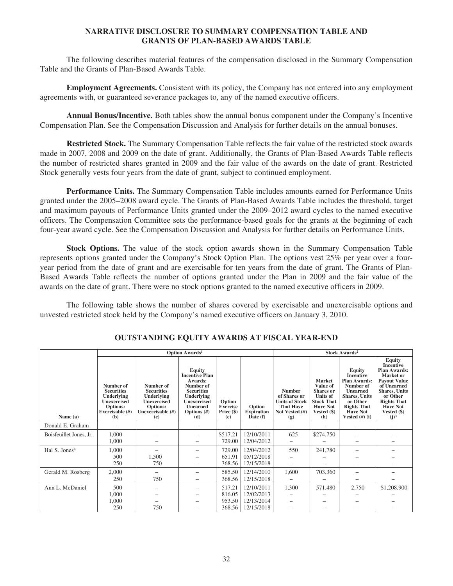## **NARRATIVE DISCLOSURE TO SUMMARY COMPENSATION TABLE AND GRANTS OF PLAN-BASED AWARDS TABLE**

The following describes material features of the compensation disclosed in the Summary Compensation Table and the Grants of Plan-Based Awards Table.

**Employment Agreements.** Consistent with its policy, the Company has not entered into any employment agreements with, or guaranteed severance packages to, any of the named executive officers.

**Annual Bonus/Incentive.** Both tables show the annual bonus component under the Company's Incentive Compensation Plan. See the Compensation Discussion and Analysis for further details on the annual bonuses.

**Restricted Stock.** The Summary Compensation Table reflects the fair value of the restricted stock awards made in 2007, 2008 and 2009 on the date of grant. Additionally, the Grants of Plan-Based Awards Table reflects the number of restricted shares granted in 2009 and the fair value of the awards on the date of grant. Restricted Stock generally vests four years from the date of grant, subject to continued employment.

**Performance Units.** The Summary Compensation Table includes amounts earned for Performance Units granted under the 2005–2008 award cycle. The Grants of Plan-Based Awards Table includes the threshold, target and maximum payouts of Performance Units granted under the 2009–2012 award cycles to the named executive officers. The Compensation Committee sets the performance-based goals for the grants at the beginning of each four-year award cycle. See the Compensation Discussion and Analysis for further details on Performance Units.

**Stock Options.** The value of the stock option awards shown in the Summary Compensation Table represents options granted under the Company's Stock Option Plan. The options vest 25% per year over a fouryear period from the date of grant and are exercisable for ten years from the date of grant. The Grants of Plan-Based Awards Table reflects the number of options granted under the Plan in 2009 and the fair value of the awards on the date of grant. There were no stock options granted to the named executive officers in 2009.

The following table shows the number of shares covered by exercisable and unexercisable options and unvested restricted stock held by the Company's named executive officers on January 3, 2010.

|                           |                                                                                                          |                                                                                                            | <b>Option Awards<sup>1</sup></b>                                                                                                                            | <b>Stock Awards<sup>2</sup></b>                  |                                                          |                                                                                                     |                                                                                                                                  |                                                                                                                                                                             |                                                                                                                                                                                                                                |
|---------------------------|----------------------------------------------------------------------------------------------------------|------------------------------------------------------------------------------------------------------------|-------------------------------------------------------------------------------------------------------------------------------------------------------------|--------------------------------------------------|----------------------------------------------------------|-----------------------------------------------------------------------------------------------------|----------------------------------------------------------------------------------------------------------------------------------|-----------------------------------------------------------------------------------------------------------------------------------------------------------------------------|--------------------------------------------------------------------------------------------------------------------------------------------------------------------------------------------------------------------------------|
| Name (a)                  | Number of<br><b>Securities</b><br><b>Underlying</b><br>Unexercised<br>Options:<br>Exercisable (#)<br>(b) | Number of<br><b>Securities</b><br><b>Underlying</b><br>Unexercised<br>Options:<br>Unexercisable (#)<br>(c) | <b>Equity</b><br><b>Incentive Plan</b><br>Awards:<br>Number of<br><b>Securities</b><br>Underlying<br>Unexercised<br><b>Unearned</b><br>Options $(f)$<br>(d) | Option<br><b>Exercise</b><br>Price $(\$)$<br>(e) | Option<br><b>Expiration</b><br>$\hat{\mathrm{Date}}$ (f) | <b>Number</b><br>of Shares or<br><b>Units of Stock</b><br><b>That Have</b><br>Not Vested (#)<br>(g) | <b>Market</b><br>Value of<br><b>Shares</b> or<br><b>Units of</b><br><b>Stock That</b><br><b>Have Not</b><br>Vested $(\$)$<br>(h) | Equity<br><b>Incentive</b><br><b>Plan Awards:</b><br>Number of<br>Unearned<br><b>Shares, Units</b><br>or Other<br><b>Rights That</b><br><b>Have Not</b><br>Vested $(H)$ (i) | <b>Equity</b><br><b>Incentive</b><br><b>Plan Awards:</b><br>Market or<br><b>Payout Value</b><br>of Unearned<br><b>Shares</b> , Units<br>or Other<br><b>Rights That</b><br><b>Have Not</b><br>Vested (\$)<br>$(j)$ <sup>3</sup> |
| Donald E. Graham          |                                                                                                          |                                                                                                            |                                                                                                                                                             |                                                  |                                                          |                                                                                                     |                                                                                                                                  |                                                                                                                                                                             |                                                                                                                                                                                                                                |
| Boisfeuillet Jones, Jr.   | 1,000<br>1,000                                                                                           |                                                                                                            |                                                                                                                                                             | \$517.21<br>729.00                               | 12/10/2011<br>12/04/2012                                 | 625                                                                                                 | \$274,750                                                                                                                        |                                                                                                                                                                             |                                                                                                                                                                                                                                |
| Hal S. Jones <sup>4</sup> | 1.000<br>500<br>250                                                                                      | 1,500<br>750                                                                                               |                                                                                                                                                             | 729.00<br>651.91<br>368.56                       | 12/04/2012<br>05/12/2018<br>12/15/2018                   | 550                                                                                                 | 241,780                                                                                                                          |                                                                                                                                                                             |                                                                                                                                                                                                                                |
| Gerald M. Rosberg         | 2,000<br>250                                                                                             | 750                                                                                                        |                                                                                                                                                             | 585.50<br>368.56                                 | 12/14/2010<br>12/15/2018                                 | 1,600                                                                                               | 703,360                                                                                                                          |                                                                                                                                                                             |                                                                                                                                                                                                                                |
| Ann L. McDaniel           | 500<br>1,000<br>1,000                                                                                    |                                                                                                            |                                                                                                                                                             | 517.21<br>816.05<br>953.50                       | 12/10/2011<br>12/02/2013<br>12/13/2014                   | 1,300                                                                                               | 571,480                                                                                                                          | 2,750                                                                                                                                                                       | \$1,208,900                                                                                                                                                                                                                    |
|                           | 250                                                                                                      | 750                                                                                                        |                                                                                                                                                             | 368.56                                           | 12/15/2018                                               |                                                                                                     |                                                                                                                                  |                                                                                                                                                                             |                                                                                                                                                                                                                                |

## **OUTSTANDING EQUITY AWARDS AT FISCAL YEAR-END**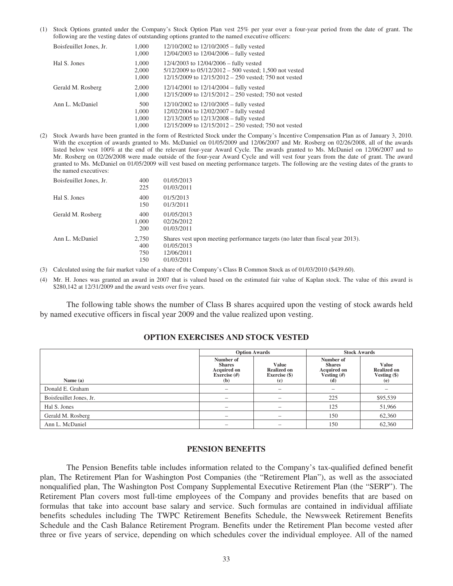(1) Stock Options granted under the Company's Stock Option Plan vest 25% per year over a four-year period from the date of grant. The following are the vesting dates of outstanding options granted to the named executive officers:

| Boisfeuillet Jones, Jr. | 1,000<br>1,000                 | $12/10/2002$ to $12/10/2005$ – fully vested<br>$12/04/2003$ to $12/04/2006$ – fully vested                                                                                                         |
|-------------------------|--------------------------------|----------------------------------------------------------------------------------------------------------------------------------------------------------------------------------------------------|
| Hal S. Jones            | 1.000<br>2,000<br>1,000        | $12/4/2003$ to $12/04/2006$ – fully vested<br>$5/12/2009$ to $05/12/2012 - 500$ vested; 1,500 not vested<br>$12/15/2009$ to $12/15/2012 - 250$ vested; 750 not vested                              |
| Gerald M. Rosberg       | 2,000<br>1,000                 | $12/14/2001$ to $12/14/2004$ – fully vested<br>$12/15/2009$ to $12/15/2012 - 250$ vested; 750 not vested                                                                                           |
| Ann L. McDaniel         | 500<br>1.000<br>1,000<br>1.000 | $12/10/2002$ to $12/10/2005$ – fully vested<br>12/02/2004 to 12/02/2007 – fully vested<br>$12/13/2005$ to $12/13/2008$ – fully vested<br>$12/15/2009$ to $12/15/2012 - 250$ vested; 750 not vested |

(2) Stock Awards have been granted in the form of Restricted Stock under the Company's Incentive Compensation Plan as of January 3, 2010. With the exception of awards granted to Ms. McDaniel on 01/05/2009 and 12/06/2007 and Mr. Rosberg on 02/26/2008, all of the awards listed below vest 100% at the end of the relevant four-year Award Cycle. The awards granted to Ms. McDaniel on 12/06/2007 and to Mr. Rosberg on 02/26/2008 were made outside of the four-year Award Cycle and will vest four years from the date of grant. The award granted to Ms. McDaniel on 01/05/2009 will vest based on meeting performance targets. The following are the vesting dates of the grants to the named executives:

| Boisfeuillet Jones, Jr. | 400<br>225                 | 01/05/2013<br>01/03/2011                                                                                                 |
|-------------------------|----------------------------|--------------------------------------------------------------------------------------------------------------------------|
| Hal S. Jones            | 400<br>150                 | 01/5/2013<br>01/3/2011                                                                                                   |
| Gerald M. Rosberg       | 400<br>1.000<br>200        | 01/05/2013<br>02/26/2012<br>01/03/2011                                                                                   |
| Ann L. McDaniel         | 2,750<br>400<br>750<br>150 | Shares vest upon meeting performance targets (no later than fiscal year 2013).<br>01/05/2013<br>12/06/2011<br>01/03/2011 |

- (3) Calculated using the fair market value of a share of the Company's Class B Common Stock as of 01/03/2010 (\$439.60).
- (4) Mr. H. Jones was granted an award in 2007 that is valued based on the estimated fair value of Kaplan stock. The value of this award is \$280,142 at 12/31/2009 and the award vests over five years.

The following table shows the number of Class B shares acquired upon the vesting of stock awards held by named executive officers in fiscal year 2009 and the value realized upon vesting.

### **OPTION EXERCISES AND STOCK VESTED**

|                         | <b>Option Awards</b>                                                     |                                                            | <b>Stock Awards</b>                                                     |                                                      |
|-------------------------|--------------------------------------------------------------------------|------------------------------------------------------------|-------------------------------------------------------------------------|------------------------------------------------------|
| Name (a)                | Number of<br><b>Shares</b><br><b>Acquired on</b><br>Exercise $#)$<br>(b) | <b>Value</b><br><b>Realized on</b><br>Exercise (\$)<br>(c) | Number of<br><b>Shares</b><br><b>Acquired on</b><br>Vesting $#)$<br>(d) | Value<br><b>Realized on</b><br>Vesting $(\$)$<br>(e) |
| Donald E. Graham        | -                                                                        |                                                            |                                                                         |                                                      |
| Boisfeuillet Jones, Jr. |                                                                          |                                                            | 225                                                                     | \$95,539                                             |
| Hal S. Jones            | -                                                                        |                                                            | 125                                                                     | 51,966                                               |
| Gerald M. Rosberg       |                                                                          |                                                            | 150                                                                     | 62,360                                               |
| Ann L. McDaniel         |                                                                          |                                                            | 150                                                                     | 62,360                                               |

#### **PENSION BENEFITS**

The Pension Benefits table includes information related to the Company's tax-qualified defined benefit plan, The Retirement Plan for Washington Post Companies (the "Retirement Plan"), as well as the associated nonqualified plan, The Washington Post Company Supplemental Executive Retirement Plan (the "SERP"). The Retirement Plan covers most full-time employees of the Company and provides benefits that are based on formulas that take into account base salary and service. Such formulas are contained in individual affiliate benefits schedules including The TWPC Retirement Benefits Schedule, the Newsweek Retirement Benefits Schedule and the Cash Balance Retirement Program. Benefits under the Retirement Plan become vested after three or five years of service, depending on which schedules cover the individual employee. All of the named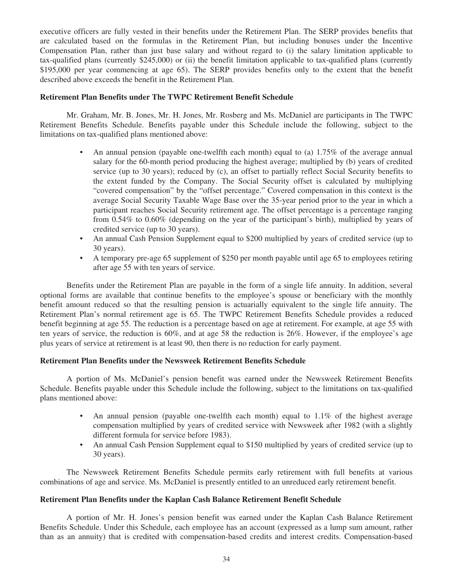executive officers are fully vested in their benefits under the Retirement Plan. The SERP provides benefits that are calculated based on the formulas in the Retirement Plan, but including bonuses under the Incentive Compensation Plan, rather than just base salary and without regard to (i) the salary limitation applicable to tax-qualified plans (currently \$245,000) or (ii) the benefit limitation applicable to tax-qualified plans (currently \$195,000 per year commencing at age 65). The SERP provides benefits only to the extent that the benefit described above exceeds the benefit in the Retirement Plan.

## **Retirement Plan Benefits under The TWPC Retirement Benefit Schedule**

Mr. Graham, Mr. B. Jones, Mr. H. Jones, Mr. Rosberg and Ms. McDaniel are participants in The TWPC Retirement Benefits Schedule. Benefits payable under this Schedule include the following, subject to the limitations on tax-qualified plans mentioned above:

- An annual pension (payable one-twelfth each month) equal to (a) 1.75% of the average annual salary for the 60-month period producing the highest average; multiplied by (b) years of credited service (up to 30 years); reduced by (c), an offset to partially reflect Social Security benefits to the extent funded by the Company. The Social Security offset is calculated by multiplying "covered compensation" by the "offset percentage." Covered compensation in this context is the average Social Security Taxable Wage Base over the 35-year period prior to the year in which a participant reaches Social Security retirement age. The offset percentage is a percentage ranging from 0.54% to 0.60% (depending on the year of the participant's birth), multiplied by years of credited service (up to 30 years).
- An annual Cash Pension Supplement equal to \$200 multiplied by years of credited service (up to 30 years).
- A temporary pre-age 65 supplement of \$250 per month payable until age 65 to employees retiring after age 55 with ten years of service.

Benefits under the Retirement Plan are payable in the form of a single life annuity. In addition, several optional forms are available that continue benefits to the employee's spouse or beneficiary with the monthly benefit amount reduced so that the resulting pension is actuarially equivalent to the single life annuity. The Retirement Plan's normal retirement age is 65. The TWPC Retirement Benefits Schedule provides a reduced benefit beginning at age 55. The reduction is a percentage based on age at retirement. For example, at age 55 with ten years of service, the reduction is 60%, and at age 58 the reduction is 26%. However, if the employee's age plus years of service at retirement is at least 90, then there is no reduction for early payment.

#### **Retirement Plan Benefits under the Newsweek Retirement Benefits Schedule**

A portion of Ms. McDaniel's pension benefit was earned under the Newsweek Retirement Benefits Schedule. Benefits payable under this Schedule include the following, subject to the limitations on tax-qualified plans mentioned above:

- An annual pension (payable one-twelfth each month) equal to 1.1% of the highest average compensation multiplied by years of credited service with Newsweek after 1982 (with a slightly different formula for service before 1983).
- An annual Cash Pension Supplement equal to \$150 multiplied by years of credited service (up to 30 years).

The Newsweek Retirement Benefits Schedule permits early retirement with full benefits at various combinations of age and service. Ms. McDaniel is presently entitled to an unreduced early retirement benefit.

#### **Retirement Plan Benefits under the Kaplan Cash Balance Retirement Benefit Schedule**

A portion of Mr. H. Jones's pension benefit was earned under the Kaplan Cash Balance Retirement Benefits Schedule. Under this Schedule, each employee has an account (expressed as a lump sum amount, rather than as an annuity) that is credited with compensation-based credits and interest credits. Compensation-based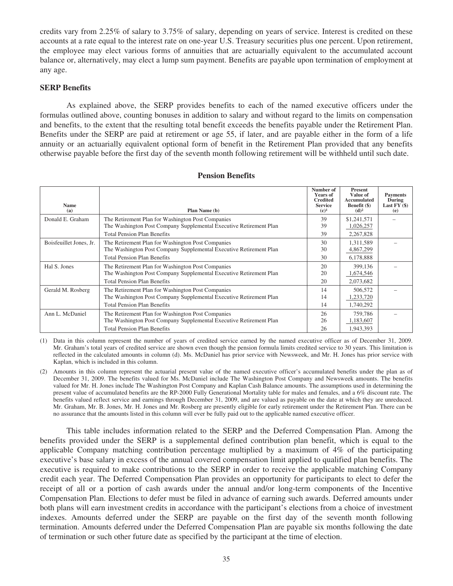credits vary from 2.25% of salary to 3.75% of salary, depending on years of service. Interest is credited on these accounts at a rate equal to the interest rate on one-year U.S. Treasury securities plus one percent. Upon retirement, the employee may elect various forms of annuities that are actuarially equivalent to the accumulated account balance or, alternatively, may elect a lump sum payment. Benefits are payable upon termination of employment at any age.

## **SERP Benefits**

As explained above, the SERP provides benefits to each of the named executive officers under the formulas outlined above, counting bonuses in addition to salary and without regard to the limits on compensation and benefits, to the extent that the resulting total benefit exceeds the benefits payable under the Retirement Plan. Benefits under the SERP are paid at retirement or age 55, if later, and are payable either in the form of a life annuity or an actuarially equivalent optional form of benefit in the Retirement Plan provided that any benefits otherwise payable before the first day of the seventh month following retirement will be withheld until such date.

| <b>Name</b><br>(a)      | Plan Name (b)                                                                                                                                                 | Number of<br><b>Years of</b><br><b>Credited</b><br><b>Service</b><br>$(c)^1$ | <b>Present</b><br>Value of<br><b>Accumulated</b><br>Benefit (\$)<br>$(d)^2$ | <b>Payments</b><br>During<br>Last $FY($ \$)<br>(e) |
|-------------------------|---------------------------------------------------------------------------------------------------------------------------------------------------------------|------------------------------------------------------------------------------|-----------------------------------------------------------------------------|----------------------------------------------------|
| Donald E. Graham        | The Retirement Plan for Washington Post Companies<br>The Washington Post Company Supplemental Executive Retirement Plan<br><b>Total Pension Plan Benefits</b> | 39<br>39<br>39                                                               | \$1,241,571<br>1,026,257<br>2,267,828                                       |                                                    |
| Boisfeuillet Jones, Jr. | The Retirement Plan for Washington Post Companies<br>The Washington Post Company Supplemental Executive Retirement Plan<br><b>Total Pension Plan Benefits</b> | 30<br>30<br>30                                                               | 1,311,589<br>4,867,299<br>6,178,888                                         |                                                    |
| Hal S. Jones            | The Retirement Plan for Washington Post Companies<br>The Washington Post Company Supplemental Executive Retirement Plan<br><b>Total Pension Plan Benefits</b> | 20<br>20<br>20                                                               | 399,136<br>1,674,546<br>2,073,682                                           |                                                    |
| Gerald M. Rosberg       | The Retirement Plan for Washington Post Companies<br>The Washington Post Company Supplemental Executive Retirement Plan<br><b>Total Pension Plan Benefits</b> | 14<br>14<br>14                                                               | 506,572<br>1,233,720<br>1,740,292                                           |                                                    |
| Ann L. McDaniel         | The Retirement Plan for Washington Post Companies<br>The Washington Post Company Supplemental Executive Retirement Plan<br><b>Total Pension Plan Benefits</b> | 26<br>26<br>26                                                               | 759,786<br>1,183,607<br>1,943,393                                           |                                                    |

#### **Pension Benefits**

(1) Data in this column represent the number of years of credited service earned by the named executive officer as of December 31, 2009. Mr. Graham's total years of credited service are shown even though the pension formula limits credited service to 30 years. This limitation is reflected in the calculated amounts in column (d). Ms. McDaniel has prior service with Newsweek, and Mr. H. Jones has prior service with Kaplan, which is included in this column.

(2) Amounts in this column represent the actuarial present value of the named executive officer's accumulated benefits under the plan as of December 31, 2009. The benefits valued for Ms. McDaniel include The Washington Post Company and Newsweek amounts. The benefits valued for Mr. H. Jones include The Washington Post Company and Kaplan Cash Balance amounts. The assumptions used in determining the present value of accumulated benefits are the RP-2000 Fully Generational Mortality table for males and females, and a 6% discount rate. The benefits valued reflect service and earnings through December 31, 2009, and are valued as payable on the date at which they are unreduced. Mr. Graham, Mr. B. Jones, Mr. H. Jones and Mr. Rosberg are presently eligible for early retirement under the Retirement Plan. There can be no assurance that the amounts listed in this column will ever be fully paid out to the applicable named executive officer.

This table includes information related to the SERP and the Deferred Compensation Plan. Among the benefits provided under the SERP is a supplemental defined contribution plan benefit, which is equal to the applicable Company matching contribution percentage multiplied by a maximum of 4% of the participating executive's base salary in excess of the annual covered compensation limit applied to qualified plan benefits. The executive is required to make contributions to the SERP in order to receive the applicable matching Company credit each year. The Deferred Compensation Plan provides an opportunity for participants to elect to defer the receipt of all or a portion of cash awards under the annual and/or long-term components of the Incentive Compensation Plan. Elections to defer must be filed in advance of earning such awards. Deferred amounts under both plans will earn investment credits in accordance with the participant's elections from a choice of investment indexes. Amounts deferred under the SERP are payable on the first day of the seventh month following termination. Amounts deferred under the Deferred Compensation Plan are payable six months following the date of termination or such other future date as specified by the participant at the time of election.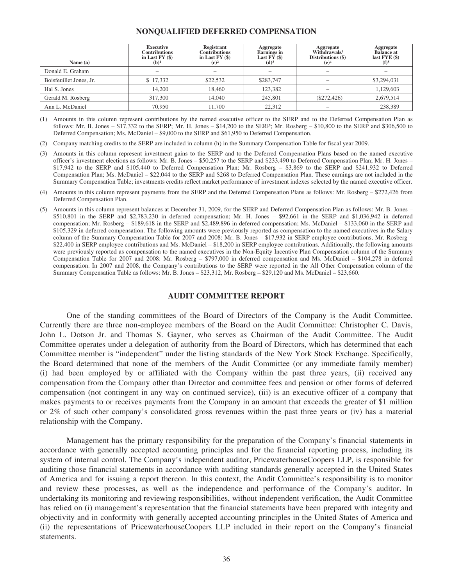#### **NONQUALIFIED DEFERRED COMPENSATION**

| Name $(a)$              | <b>Executive</b><br><b>Contributions</b><br>in Last $FY($ \$)<br>$(b)^1$ | Registrant<br><b>Contributions</b><br>in Last $FY($)$<br>$(c)^2$ | Aggregate<br><b>Earnings</b> in<br>Last $FY($)$<br>(d) <sup>3</sup> | Aggregate<br>Withdrawals/<br>Distributions (\$)<br>(e) <sup>4</sup> | Aggregate<br><b>Balance at</b><br>last $FYE($)$<br>$(f)^5$ |
|-------------------------|--------------------------------------------------------------------------|------------------------------------------------------------------|---------------------------------------------------------------------|---------------------------------------------------------------------|------------------------------------------------------------|
| Donald E. Graham        |                                                                          |                                                                  |                                                                     |                                                                     |                                                            |
| Boisfeuillet Jones, Jr. | \$17,332                                                                 | \$22,532                                                         | \$283,747                                                           |                                                                     | \$3,294,031                                                |
| Hal S. Jones            | 14.200                                                                   | 18,460                                                           | 123.382                                                             |                                                                     | 1,129,603                                                  |
| Gerald M. Rosberg       | 317,300                                                                  | 14,040                                                           | 245,801                                                             | $(\$272,426)$                                                       | 2,679,514                                                  |
| Ann L. McDaniel         | 70,950                                                                   | 11.700                                                           | 22,312                                                              | $\overline{\phantom{a}}$                                            | 238,389                                                    |

(1) Amounts in this column represent contributions by the named executive officer to the SERP and to the Deferred Compensation Plan as follows: Mr. B. Jones – \$17,332 to the SERP; Mr. H. Jones – \$14,200 to the SERP; Mr. Rosberg – \$10,800 to the SERP and \$306,500 to Deferred Compensation; Ms. McDaniel – \$9,000 to the SERP and \$61,950 to Deferred Compensation.

(2) Company matching credits to the SERP are included in column (h) in the Summary Compensation Table for fiscal year 2009.

- (3) Amounts in this column represent investment gains to the SERP and to the Deferred Compensation Plans based on the named executive officer's investment elections as follows: Mr. B. Jones – \$50,257 to the SERP and \$233,490 to Deferred Compensation Plan; Mr. H. Jones – \$17,942 to the SERP and \$105,440 to Deferred Compensation Plan; Mr. Rosberg – \$3,869 to the SERP and \$241,932 to Deferred Compensation Plan; Ms. McDaniel – \$22,044 to the SERP and \$268 to Deferred Compensation Plan. These earnings are not included in the Summary Compensation Table; investments credits reflect market performance of investment indexes selected by the named executive officer.
- (4) Amounts in this column represent payments from the SERP and the Deferred Compensation Plans as follows: Mr. Rosberg \$272,426 from Deferred Compensation Plan.
- (5) Amounts in this column represent balances at December 31, 2009, for the SERP and Deferred Compensation Plan as follows: Mr. B. Jones \$510,801 in the SERP and \$2,783,230 in deferred compensation; Mr. H. Jones – \$92,661 in the SERP and \$1,036,942 in deferred compensation; Mr. Rosberg – \$189,618 in the SERP and \$2,489,896 in deferred compensation; Ms. McDaniel – \$133,060 in the SERP and \$105,329 in deferred compensation. The following amounts were previously reported as compensation to the named executives in the Salary column of the Summary Compensation Table for 2007 and 2008: Mr. B. Jones – \$17,932 in SERP employee contributions, Mr. Rosberg – \$22,400 in SERP employee contributions and Ms. McDaniel – \$18,200 in SERP employee contributions. Additionally, the following amounts were previously reported as compensation to the named executives in the Non-Equity Incentive Plan Compensation column of the Summary Compensation Table for 2007 and 2008: Mr. Rosberg – \$797,000 in deferred compensation and Ms. McDaniel – \$104,278 in deferred compensation. In 2007 and 2008, the Company's contributions to the SERP were reported in the All Other Compensation column of the Summary Compensation Table as follows: Mr. B. Jones – \$23,312, Mr. Rosberg – \$29,120 and Ms. McDaniel – \$23,660.

#### **AUDIT COMMITTEE REPORT**

One of the standing committees of the Board of Directors of the Company is the Audit Committee. Currently there are three non-employee members of the Board on the Audit Committee: Christopher C. Davis, John L. Dotson Jr. and Thomas S. Gayner, who serves as Chairman of the Audit Committee. The Audit Committee operates under a delegation of authority from the Board of Directors, which has determined that each Committee member is "independent" under the listing standards of the New York Stock Exchange. Specifically, the Board determined that none of the members of the Audit Committee (or any immediate family member) (i) had been employed by or affiliated with the Company within the past three years, (ii) received any compensation from the Company other than Director and committee fees and pension or other forms of deferred compensation (not contingent in any way on continued service), (iii) is an executive officer of a company that makes payments to or receives payments from the Company in an amount that exceeds the greater of \$1 million or 2% of such other company's consolidated gross revenues within the past three years or (iv) has a material relationship with the Company.

Management has the primary responsibility for the preparation of the Company's financial statements in accordance with generally accepted accounting principles and for the financial reporting process, including its system of internal control. The Company's independent auditor, PricewaterhouseCoopers LLP, is responsible for auditing those financial statements in accordance with auditing standards generally accepted in the United States of America and for issuing a report thereon. In this context, the Audit Committee's responsibility is to monitor and review these processes, as well as the independence and performance of the Company's auditor. In undertaking its monitoring and reviewing responsibilities, without independent verification, the Audit Committee has relied on (i) management's representation that the financial statements have been prepared with integrity and objectivity and in conformity with generally accepted accounting principles in the United States of America and (ii) the representations of PricewaterhouseCoopers LLP included in their report on the Company's financial statements.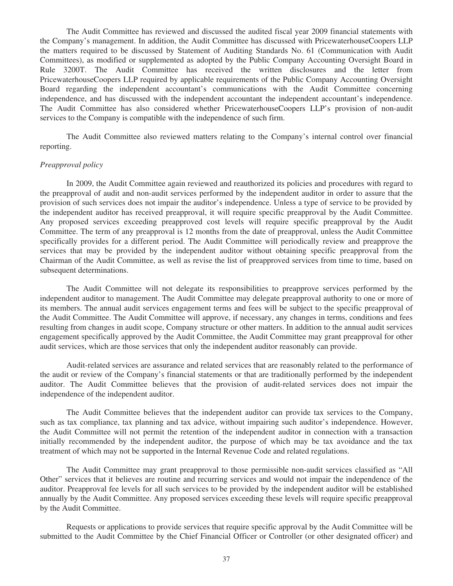The Audit Committee has reviewed and discussed the audited fiscal year 2009 financial statements with the Company's management. In addition, the Audit Committee has discussed with PricewaterhouseCoopers LLP the matters required to be discussed by Statement of Auditing Standards No. 61 (Communication with Audit Committees), as modified or supplemented as adopted by the Public Company Accounting Oversight Board in Rule 3200T. The Audit Committee has received the written disclosures and the letter from PricewaterhouseCoopers LLP required by applicable requirements of the Public Company Accounting Oversight Board regarding the independent accountant's communications with the Audit Committee concerning independence, and has discussed with the independent accountant the independent accountant's independence. The Audit Committee has also considered whether PricewaterhouseCoopers LLP's provision of non-audit services to the Company is compatible with the independence of such firm.

The Audit Committee also reviewed matters relating to the Company's internal control over financial reporting.

#### *Preapproval policy*

In 2009, the Audit Committee again reviewed and reauthorized its policies and procedures with regard to the preapproval of audit and non-audit services performed by the independent auditor in order to assure that the provision of such services does not impair the auditor's independence. Unless a type of service to be provided by the independent auditor has received preapproval, it will require specific preapproval by the Audit Committee. Any proposed services exceeding preapproved cost levels will require specific preapproval by the Audit Committee. The term of any preapproval is 12 months from the date of preapproval, unless the Audit Committee specifically provides for a different period. The Audit Committee will periodically review and preapprove the services that may be provided by the independent auditor without obtaining specific preapproval from the Chairman of the Audit Committee, as well as revise the list of preapproved services from time to time, based on subsequent determinations.

The Audit Committee will not delegate its responsibilities to preapprove services performed by the independent auditor to management. The Audit Committee may delegate preapproval authority to one or more of its members. The annual audit services engagement terms and fees will be subject to the specific preapproval of the Audit Committee. The Audit Committee will approve, if necessary, any changes in terms, conditions and fees resulting from changes in audit scope, Company structure or other matters. In addition to the annual audit services engagement specifically approved by the Audit Committee, the Audit Committee may grant preapproval for other audit services, which are those services that only the independent auditor reasonably can provide.

Audit-related services are assurance and related services that are reasonably related to the performance of the audit or review of the Company's financial statements or that are traditionally performed by the independent auditor. The Audit Committee believes that the provision of audit-related services does not impair the independence of the independent auditor.

The Audit Committee believes that the independent auditor can provide tax services to the Company, such as tax compliance, tax planning and tax advice, without impairing such auditor's independence. However, the Audit Committee will not permit the retention of the independent auditor in connection with a transaction initially recommended by the independent auditor, the purpose of which may be tax avoidance and the tax treatment of which may not be supported in the Internal Revenue Code and related regulations.

The Audit Committee may grant preapproval to those permissible non-audit services classified as "All Other" services that it believes are routine and recurring services and would not impair the independence of the auditor. Preapproval fee levels for all such services to be provided by the independent auditor will be established annually by the Audit Committee. Any proposed services exceeding these levels will require specific preapproval by the Audit Committee.

Requests or applications to provide services that require specific approval by the Audit Committee will be submitted to the Audit Committee by the Chief Financial Officer or Controller (or other designated officer) and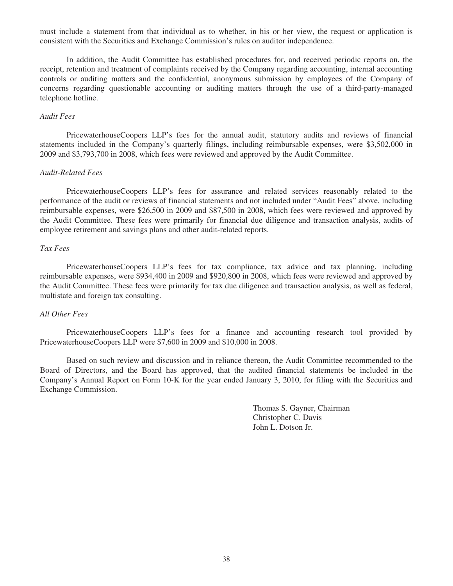must include a statement from that individual as to whether, in his or her view, the request or application is consistent with the Securities and Exchange Commission's rules on auditor independence.

In addition, the Audit Committee has established procedures for, and received periodic reports on, the receipt, retention and treatment of complaints received by the Company regarding accounting, internal accounting controls or auditing matters and the confidential, anonymous submission by employees of the Company of concerns regarding questionable accounting or auditing matters through the use of a third-party-managed telephone hotline.

#### *Audit Fees*

PricewaterhouseCoopers LLP's fees for the annual audit, statutory audits and reviews of financial statements included in the Company's quarterly filings, including reimbursable expenses, were \$3,502,000 in 2009 and \$3,793,700 in 2008, which fees were reviewed and approved by the Audit Committee.

#### *Audit-Related Fees*

PricewaterhouseCoopers LLP's fees for assurance and related services reasonably related to the performance of the audit or reviews of financial statements and not included under "Audit Fees" above, including reimbursable expenses, were \$26,500 in 2009 and \$87,500 in 2008, which fees were reviewed and approved by the Audit Committee. These fees were primarily for financial due diligence and transaction analysis, audits of employee retirement and savings plans and other audit-related reports.

## *Tax Fees*

PricewaterhouseCoopers LLP's fees for tax compliance, tax advice and tax planning, including reimbursable expenses, were \$934,400 in 2009 and \$920,800 in 2008, which fees were reviewed and approved by the Audit Committee. These fees were primarily for tax due diligence and transaction analysis, as well as federal, multistate and foreign tax consulting.

#### *All Other Fees*

PricewaterhouseCoopers LLP's fees for a finance and accounting research tool provided by PricewaterhouseCoopers LLP were \$7,600 in 2009 and \$10,000 in 2008.

Based on such review and discussion and in reliance thereon, the Audit Committee recommended to the Board of Directors, and the Board has approved, that the audited financial statements be included in the Company's Annual Report on Form 10-K for the year ended January 3, 2010, for filing with the Securities and Exchange Commission.

> Thomas S. Gayner, Chairman Christopher C. Davis John L. Dotson Jr.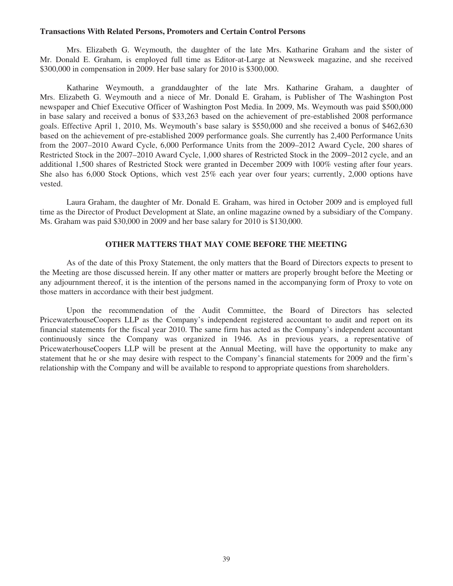#### **Transactions With Related Persons, Promoters and Certain Control Persons**

Mrs. Elizabeth G. Weymouth, the daughter of the late Mrs. Katharine Graham and the sister of Mr. Donald E. Graham, is employed full time as Editor-at-Large at Newsweek magazine, and she received \$300,000 in compensation in 2009. Her base salary for 2010 is \$300,000.

Katharine Weymouth, a granddaughter of the late Mrs. Katharine Graham, a daughter of Mrs. Elizabeth G. Weymouth and a niece of Mr. Donald E. Graham, is Publisher of The Washington Post newspaper and Chief Executive Officer of Washington Post Media. In 2009, Ms. Weymouth was paid \$500,000 in base salary and received a bonus of \$33,263 based on the achievement of pre-established 2008 performance goals. Effective April 1, 2010, Ms. Weymouth's base salary is \$550,000 and she received a bonus of \$462,630 based on the achievement of pre-established 2009 performance goals. She currently has 2,400 Performance Units from the 2007–2010 Award Cycle, 6,000 Performance Units from the 2009–2012 Award Cycle, 200 shares of Restricted Stock in the 2007–2010 Award Cycle, 1,000 shares of Restricted Stock in the 2009–2012 cycle, and an additional 1,500 shares of Restricted Stock were granted in December 2009 with 100% vesting after four years. She also has 6,000 Stock Options, which vest 25% each year over four years; currently, 2,000 options have vested.

Laura Graham, the daughter of Mr. Donald E. Graham, was hired in October 2009 and is employed full time as the Director of Product Development at Slate, an online magazine owned by a subsidiary of the Company. Ms. Graham was paid \$30,000 in 2009 and her base salary for 2010 is \$130,000.

## **OTHER MATTERS THAT MAY COME BEFORE THE MEETING**

As of the date of this Proxy Statement, the only matters that the Board of Directors expects to present to the Meeting are those discussed herein. If any other matter or matters are properly brought before the Meeting or any adjournment thereof, it is the intention of the persons named in the accompanying form of Proxy to vote on those matters in accordance with their best judgment.

Upon the recommendation of the Audit Committee, the Board of Directors has selected PricewaterhouseCoopers LLP as the Company's independent registered accountant to audit and report on its financial statements for the fiscal year 2010. The same firm has acted as the Company's independent accountant continuously since the Company was organized in 1946. As in previous years, a representative of PricewaterhouseCoopers LLP will be present at the Annual Meeting, will have the opportunity to make any statement that he or she may desire with respect to the Company's financial statements for 2009 and the firm's relationship with the Company and will be available to respond to appropriate questions from shareholders.